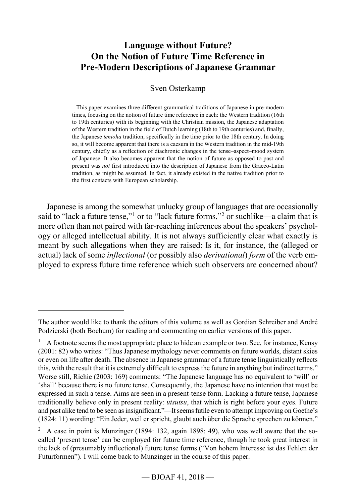## **Language without Future? On the Notion of Future Time Reference in Pre-Modern Descriptions of Japanese Grammar**

#### Sven Osterkamp

This paper examines three different grammatical traditions of Japanese in pre-modern times, focusing on the notion of future time reference in each: the Western tradition (16th to 19th centuries) with its beginning with the Christian mission, the Japanese adaptation of the Western tradition in the field of Dutch learning (18th to 19th centuries) and, finally, the Japanese *tenioha* tradition, specifically in the time prior to the 18th century. In doing so, it will become apparent that there is a caesura in the Western tradition in the mid-19th century, chiefly as a reflection of diachronic changes in the tense–aspect–mood system of Japanese. It also becomes apparent that the notion of future as opposed to past and present was *not* first introduced into the description of Japanese from the Graeco-Latin tradition, as might be assumed. In fact, it already existed in the native tradition prior to the first contacts with European scholarship.

Japanese is among the somewhat unlucky group of languages that are occasionally said to "lack a future tense,"<sup>[1](#page-0-0)</sup> or to "lack future forms,"<sup>[2](#page-0-1)</sup> or suchlike—a claim that is more often than not paired with far-reaching inferences about the speakers' psychology or alleged intellectual ability. It is not always sufficiently clear what exactly is meant by such allegations when they are raised: Is it, for instance, the (alleged or actual) lack of some *inflectional* (or possibly also *derivational*) *form* of the verb employed to express future time reference which such observers are concerned about?

<span id="page-0-0"></span>The author would like to thank the editors of this volume as well as Gordian Schreiber and André Podzierski (both Bochum) for reading and commenting on earlier versions of this paper.

 $1$  A footnote seems the most appropriate place to hide an example or two. See, for instance, Kensy (2001: 82) who writes: "Thus Japanese mythology never comments on future worlds, distant skies or even on life after death. The absence in Japanese grammar of a future tense linguistically reflects this, with the result that it is extremely difficult to express the future in anything but indirect terms." Worse still, Richie (2003: 169) comments: "The Japanese language has no equivalent to 'will' or 'shall' because there is no future tense. Consequently, the Japanese have no intention that must be expressed in such a tense. Aims are seen in a present-tense form. Lacking a future tense, Japanese traditionally believe only in present reality: *utsutsu*, that which is right before your eyes. Future and past alike tend to be seen as insignificant."—It seems futile even to attempt improving on Goethe's (1824: 11) wording: "Ein Jeder, weil er spricht, glaubt auch über die Sprache sprechen zu können."

<span id="page-0-1"></span> $2\alpha$  A case in point is Munzinger (1894: 132, again 1898: 49), who was well aware that the socalled 'present tense' can be employed for future time reference, though he took great interest in the lack of (presumably inflectional) future tense forms ("Von hohem Interesse ist das Fehlen der Futurformen"). I will come back to Munzinger in the course of this paper.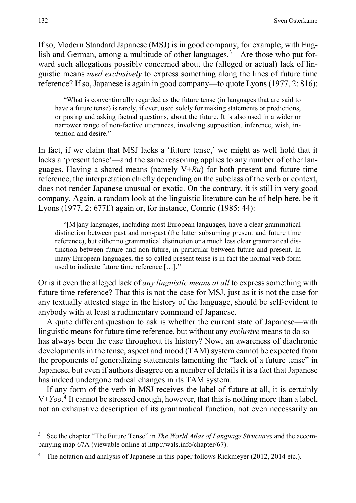If so, Modern Standard Japanese (MSJ) is in good company, for example, with English and German, among a multitude of other languages.<sup>3</sup>—Are those who put forward such allegations possibly concerned about the (alleged or actual) lack of linguistic means *used exclusively* to express something along the lines of future time reference? If so, Japanese is again in good company—to quote Lyons (1977, 2: 816):

"What is conventionally regarded as the future tense (in languages that are said to have a future tense) is rarely, if ever, used solely for making statements or predictions, or posing and asking factual questions, about the future. It is also used in a wider or narrower range of non-factive utterances, involving supposition, inference, wish, intention and desire."

In fact, if we claim that MSJ lacks a 'future tense,' we might as well hold that it lacks a 'present tense'—and the same reasoning applies to any number of other languages. Having a shared means (namely V+*Ru*) for both present and future time reference, the interpretation chiefly depending on the subclass of the verb or context, does not render Japanese unusual or exotic. On the contrary, it is still in very good company. Again, a random look at the linguistic literature can be of help here, be it Lyons (1977, 2: 677f.) again or, for instance, Comrie (1985: 44):

"[M]any languages, including most European languages, have a clear grammatical distinction between past and non-past (the latter subsuming present and future time reference), but either no grammatical distinction or a much less clear grammatical distinction between future and non-future, in particular between future and present. In many European languages, the so-called present tense is in fact the normal verb form used to indicate future time reference […]."

Or is it even the alleged lack of *any linguistic means at all* to express something with future time reference? That this is not the case for MSJ, just as it is not the case for any textually attested stage in the history of the language, should be self-evident to anybody with at least a rudimentary command of Japanese.

A quite different question to ask is whether the current state of Japanese—with linguistic means for future time reference, but without any *exclusive* means to do so has always been the case throughout its history? Now, an awareness of diachronic developments in the tense, aspect and mood (TAM) system cannot be expected from the proponents of generalizing statements lamenting the "lack of a future tense" in Japanese, but even if authors disagree on a number of details it is a fact that Japanese has indeed undergone radical changes in its TAM system.

If any form of the verb in MSJ receives the label of future at all, it is certainly V+*Yoo*. [4](#page-1-1) It cannot be stressed enough, however, that this is nothing more than a label, not an exhaustive description of its grammatical function, not even necessarily an

<span id="page-1-0"></span><sup>3</sup> See the chapter "The Future Tense" in *The World Atlas of Language Structures* and the accompanying map 67A (viewable online at http://wals.info/chapter/67).

<span id="page-1-1"></span>The notation and analysis of Japanese in this paper follows Rickmeyer (2012, 2014 etc.).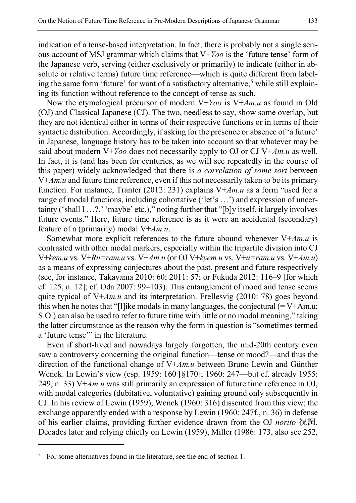indication of a tense-based interpretation. In fact, there is probably not a single serious account of MSJ grammar which claims that V+*Yoo* is the 'future tense' form of the Japanese verb, serving (either exclusively or primarily) to indicate (either in absolute or relative terms) future time reference—which is quite different from label-ing the same form 'future' for want of a satisfactory alternative,<sup>[5](#page-2-0)</sup> while still explaining its function without reference to the concept of tense as such.

Now the etymological precursor of modern V+*Yoo* is V+*Am.u* as found in Old (OJ) and Classical Japanese (CJ). The two, needless to say, show some overlap, but they are not identical either in terms of their respective functions or in terms of their syntactic distribution. Accordingly, if asking for the presence or absence of 'a future' in Japanese, language history has to be taken into account so that whatever may be said about modern V+*Yoo* does not necessarily apply to OJ or CJ V+*Am.u* as well. In fact, it is (and has been for centuries, as we will see repeatedly in the course of this paper) widely acknowledged that there is *a correlation of some sort* between V+*Am.u* and future time reference, even if this not necessarily taken to be its primary function. For instance, Tranter (2012: 231) explains V+*Am.u* as a form "used for a range of modal functions, including cohortative ('let's …') and expression of uncertainty ('shall I ...?,' 'maybe' etc.)," noting further that "[b]y itself, it largely involves future events." Here, future time reference is as it were an accidental (secondary) feature of a (primarily) modal V+*Am.u*.

Somewhat more explicit references to the future abound whenever V+*Am.u* is contrasted with other modal markers, especially within the tripartite division into CJ V+*kem.u* vs. V+*Ru=ram.u* vs. V+*Am.u* (or OJ V+*kyem.u* vs. V+*u=ram.u* vs. V+*Am.u*) as a means of expressing conjectures about the past, present and future respectively (see, for instance, Takayama 2010: 60; 2011: 57; or Fukuda 2012: 116–9 [for which cf. 125, n. 12]; cf. Oda 2007: 99–103). This entanglement of mood and tense seems quite typical of V+*Am.u* and its interpretation. Frellesvig (2010: 78) goes beyond this when he notes that "[l] ike modals in many languages, the conjectural  $(= V+Am.u;$ S.O.) can also be used to refer to future time with little or no modal meaning," taking the latter circumstance as the reason why the form in question is "sometimes termed a 'future tense'" in the literature.

Even if short-lived and nowadays largely forgotten, the mid-20th century even saw a controversy concerning the original function—tense or mood?—and thus the direction of the functional change of V+*Am.u* between Bruno Lewin and Günther Wenck. In Lewin's view (esp. 1959: 160 [§170]; 1960: 247—but cf. already 1955: 249, n. 33) V+*Am.u* was still primarily an expression of future time reference in OJ, with modal categories (dubitative, voluntative) gaining ground only subsequently in CJ. In his review of Lewin (1959), Wenck (1960: 316) dissented from this view; the exchange apparently ended with a response by Lewin (1960: 247f., n. 36) in defense of his earlier claims, providing further evidence drawn from the OJ *norito* 祝詞. Decades later and relying chiefly on Lewin (1959), Miller (1986: 173, also see 252,

<span id="page-2-0"></span> $5$  For some alternatives found in the literature, see the end of section 1.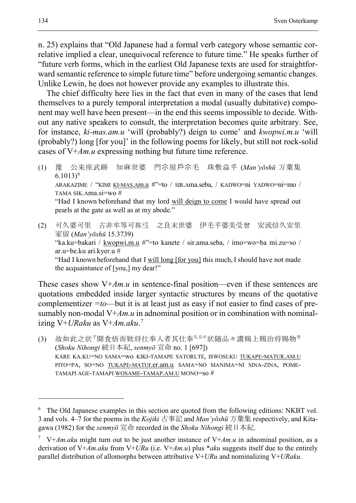n. 25) explains that "Old Japanese had a formal verb category whose semantic correlative implied a clear, unequivocal reference to future time." He speaks further of "future verb forms, which in the earliest Old Japanese texts are used for straightforward semantic reference to simple future time" before undergoing semantic changes. Unlike Lewin, he does not however provide any examples to illustrate this.

The chief difficulty here lies in the fact that even in many of the cases that lend themselves to a purely temporal interpretation a modal (usually dubitative) component may well have been present—in the end this seems impossible to decide. Without any native speakers to consult, the interpretation becomes quite arbitrary. See, for instance, *ki-mas.am.u* 'will (probably?) deign to come' and *kwopwi.m.u* 'will (probably?) long [for you]' in the following poems for likely, but still not rock-solid cases of V+*Am.u* expressing nothing but future time reference.

- (1) 豫 公来座武跡 知麻世婆 門尒屋戶尒毛 珠敷益乎 (*Man'yōshū* 万葉集  $6.1013)^6$  $6.1013)^6$ ARAKAZIME / "KIMI KI-MAS.Am.u #"=to / SIR.Ama.seba, / KADWO=ni YADWO=ni=mo / TAMA SIK.Ama.si=wo # "Had I known beforehand that my lord will deign to come I would have spread out pearls at the gate as well as at my abode."
- (2) 可久婆可里 古非牟等可祢弖 之良末世婆 伊毛乎婆美受曾 安流倍久安里 家留 (*Man'yōshū* 15.3739) "ka.ku=bakari / kwopwi.m.u #"=to kanete / sir.ama.seba, / imo=wo=ba mi.zu=so / ar.u=be.ku ari.kyer.u # "Had I known beforehand that I will long [for you] this much, I should have not made the acquaintance of [you,] my dear!"

These cases show V+*Am.u* in sentence-final position—even if these sentences are quotations embedded inside larger syntactic structures by means of the quotative complementizer *=to*—but it is at least just as easy if not easier to find cases of presumably non-modal V+*Am.u* in adnominal position or in combination with nominalizing V+*URaku* as V+*Am.aku*. [7](#page-3-1)

<span id="page-3-2"></span>(3) 故如此之状<sup>乎</sup>聞食悟而欵将仕奉人者其仕奉<sup>礼良牟</sup>状随品々讃賜上賜治将賜物<sup>曽</sup> (*Shoku Nihongi* 続日本紀, *senmyō* 宣命 no. 1 [697]) KARE KA.KU=NO SAMA=wo KIKI-TAMAPE SATORI.TE, ISWOSI.KU TUKAPE-MATUR.AM.U PITO=PA, SO=NO TUKAPE-MATUr.er.am.u SAMA=NO MANIMA=NI SINA-ZINA, POME-TAMAPI AGE-TAMAPI WOSAME-TAMAP.AM.U MONO=so #

<span id="page-3-0"></span><sup>&</sup>lt;sup>6</sup> The Old Japanese examples in this section are quoted from the following editions: NKBT vol. 3 and vols. 4–7 for the poems in the *Kojiki* 古事記 and *Man'yōshū* 万葉集 respectively, and Kitagawa (1982) for the *senmyō* 宣命 recorded in the *Shoku Nihongi* 続日本紀.

<span id="page-3-1"></span><sup>7</sup> V+*Am.aku* might turn out to be just another instance of V+*Am.u* in adnominal position, as a derivation of V+*Am.aku* from V+*URu* (i.e. V+*Am.u*) plus \**aku* suggests itself due to the entirely parallel distribution of allomorphs between attributive V+*URu* and nominalizing V+*URaku*.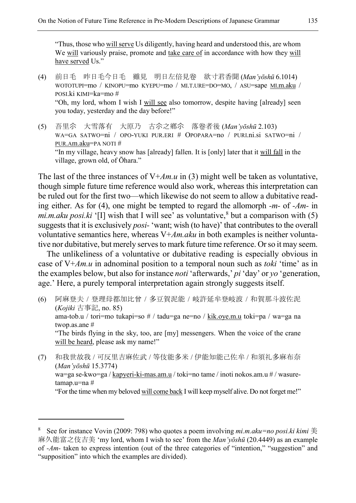"Thus, those who will serve Us diligently, having heard and understood this, are whom We will variously praise, promote and take care of in accordance with how they will have served Us."

- <span id="page-4-0"></span>(4) 前日毛 昨日毛今日毛 雖見 明日左倍見卷 欲寸君香聞 (*Man'yōshū* 6.1014) WOTOTUPI=mo / KINOPU=mo KYEPU=mo / MI.T.URE=DO=MO, / ASU=sape MI.m.aku / POSI.ki KIMI=ka=mo # "Oh, my lord, whom I wish I will see also tomorrow, despite having [already] seen you today, yesterday and the day before!"
- <span id="page-4-1"></span>(5) 吾里尒 大雪落有 大原乃 古尒之鄕尒 落卷者後 (*Man'yōshū* 2.103) WA=GA SATWO=ni / OPO-YUKI PUR.ERI # OPOPARA=no / PURI.ni.si SATWO=ni / PUR.Am.aku=PA NOTI # "In my village, heavy snow has [already] fallen. It is [only] later that it will fall in the village, grown old, of Ōhara."

The last of the three instances of V+*Am.u* in [\(3\)](#page-3-2) might well be taken as voluntative, though simple future time reference would also work, whereas this interpretation can be ruled out for the first two—which likewise do not seem to allow a dubitative reading either. As for [\(4\)](#page-4-0), one might be tempted to regard the allomorph *-m-* of *-Am-* in *mi.m.aku posi.ki* '[I] wish that I will see' as voluntative,  $8$  but a comparison with [\(5\)](#page-4-1) suggests that it is exclusively *posi-* 'want; wish (to have)' that contributes to the overall voluntative semantics here, whereas V+*Am.aku* in both examples is neither voluntative nor dubitative, but merely serves to mark future time reference. Or so it may seem.

The unlikeliness of a voluntative or dubitative reading is especially obvious in case of V+*Am.u* in adnominal position to a temporal noun such as *toki* 'time' as in the examples below, but also for instance *noti* 'afterwards,' *pi* 'day' or *yo* 'generation, age.' Here, a purely temporal interpretation again strongly suggests itself.

- (6) 阿麻登夫 / 登理母都加比曾 / 多豆賀泥能 / 岐許延牟登岐波 / 和賀那斗波佐泥 (*Kojiki* 古事記, no. 85) ama-tob.u / tori=mo tukapi=so # / tadu=ga ne=no / kik.oye.m.u toki=pa / wa=ga na twop.as.ane # "The birds flying in the sky, too, are [my] messengers. When the voice of the crane will be heard, please ask my name!"
- (7) 和我世故我 / 可反里吉麻佐武 / 等伎能多米 / 伊能知能己佐牟 / 和須礼多麻布奈 (*Man'yōshū* 15.3774) wa=ga se-kwo=ga / kapyeri-ki-mas.am.u / toki=no tame / inoti nokos.am.u # / wasuretamap.u=na # "For the time when my beloved will come back I will keep myself alive. Do not forget me!"

<span id="page-4-2"></span><sup>&</sup>lt;sup>8</sup> See for instance Vovin (2009: 798) who quotes a poem involving *mi.m.aku=no posi.ki kimi*  $\ddot{\equiv}$ 麻久能富之伎吉美 'my lord, whom I wish to see' from the *Man'yōshū* (20.4449) as an example of *-Am-* taken to express intention (out of the three categories of "intention," "suggestion" and "supposition" into which the examples are divided).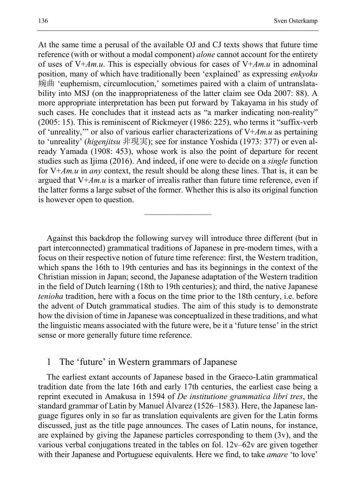At the same time a perusal of the available OJ and CJ texts shows that future time reference (with or without a modal component) *alone* cannot account for the entirety of uses of V+*Am.u*. This is especially obvious for cases of V+*Am.u* in adnominal position, many of which have traditionally been 'explained' as expressing *enkyoku* 婉曲 'euphemism, circumlocution,' sometimes paired with a claim of untranslatability into MSJ (on the inappropriateness of the latter claim see Oda 2007: 88). A more appropriate interpretation has been put forward by Takayama in his study of such cases. He concludes that it instead acts as "a marker indicating non-reality" (2005: 15). This is reminiscent of Rickmeyer (1986: 225), who terms it "suffix-verb of 'unreality,'" or also of various earlier characterizations of V+*Am.u* as pertaining to 'unreality' (*higenjitsu* 非現実); see for instance Yoshida (1973: 377) or even already Yamada (1908: 453), whose work is also the point of departure for recent studies such as Ijima (2016). And indeed, if one were to decide on a *single* function for V+*Am.u* in *any* context, the result should be along these lines. That is, it can be argued that V+*Am.u* is a marker of irrealis rather than future time reference, even if the latter forms a large subset of the former. Whether this is also its original function is however open to question.

Against this backdrop the following survey will introduce three different (but in part interconnected) grammatical traditions of Japanese in pre-modern times, with a focus on their respective notion of future time reference: first, the Western tradition, which spans the 16th to 19th centuries and has its beginnings in the context of the Christian mission in Japan; second, the Japanese adaptation of the Western tradition in the field of Dutch learning (18th to 19th centuries); and third, the native Japanese *tenioha* tradition, here with a focus on the time prior to the 18th century, i.e. before the advent of Dutch grammatical studies. The aim of this study is to demonstrate how the division of time in Japanese was conceptualized in these traditions, and what the linguistic means associated with the future were, be it a 'future tense' in the strict sense or more generally future time reference.

————————

#### 1 The 'future' in Western grammars of Japanese

The earliest extant accounts of Japanese based in the Graeco-Latin grammatical tradition date from the late 16th and early 17th centuries, the earliest case being a reprint executed in Amakusa in 1594 of *De institutione grammatica libri tres*, the standard grammar of Latin by Manuel Álvarez (1526–1583). Here, the Japanese language figures only in so far as translation equivalents are given for the Latin forms discussed, just as the title page announces. The cases of Latin nouns, for instance, are explained by giving the Japanese particles corresponding to them (3v), and the various verbal conjugations treated in the tables on fol. 12v–62v are given together with their Japanese and Portuguese equivalents. Here we find, to take *amare* 'to love'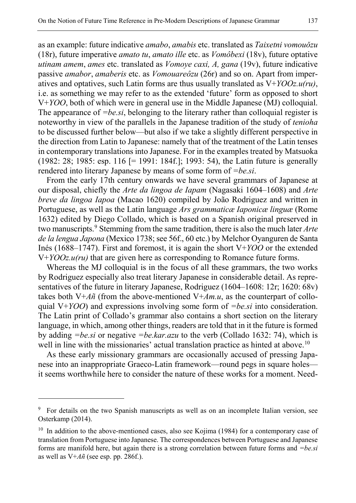as an example: future indicative *amabo*, *amabis* etc. translated as *Taixetni vomouǒzu* (18r), future imperative *amato tu*, *amato ille* etc. as *Vomôbexi* (18v), future optative *utinam amem*, *ames* etc. translated as *Vomoye caxi, A, gana* (19v), future indicative passive *amabor*, *amaberis* etc. as *Vomouareôzu* (26r) and so on. Apart from imperatives and optatives, such Latin forms are thus usually translated as V+*YOOz.u(ru)*, i.e. as something we may refer to as the extended 'future' form as opposed to short V+*YOO*, both of which were in general use in the Middle Japanese (MJ) colloquial. The appearance of *=be.si*, belonging to the literary rather than colloquial register is noteworthy in view of the parallels in the Japanese tradition of the study of *tenioha* to be discussed further below—but also if we take a slightly different perspective in the direction from Latin to Japanese: namely that of the treatment of the Latin tenses in contemporary translations into Japanese. For in the examples treated by Matsuoka (1982: 28; 1985: esp. 116 [= 1991: 184f.]; 1993: 54), the Latin future is generally rendered into literary Japanese by means of some form of *=be.si*.

From the early 17th century onwards we have several grammars of Japanese at our disposal, chiefly the *Arte da lingoa de Iapam* (Nagasaki 1604–1608) and *Arte breve da lingoa Iapoa* (Macao 1620) compiled by João Rodriguez and written in Portuguese, as well as the Latin language *Ars grammaticæ Iaponicæ linguæ* (Rome 1632) edited by Diego Collado, which is based on a Spanish original preserved in two manuscripts.[9](#page-6-0) Stemming from the same tradition, there is also the much later *Arte de la lengua Japona* (Mexico 1738; see 56f., 60 etc.) by Melchor Oyanguren de Santa Inés (1688–1747). First and foremost, it is again the short V+*YOO* or the extended V+*YOOz.u(ru)* that are given here as corresponding to Romance future forms.

Whereas the MJ colloquial is in the focus of all these grammars, the two works by Rodriguez especially also treat literary Japanese in considerable detail. As representatives of the future in literary Japanese, Rodriguez (1604–1608: 12r; 1620: 68v) takes both V+ $A\tilde{n}$  (from the above-mentioned V+ $Am.u$ , as the counterpart of colloquial V+*YOO*) and expressions involving some form of *=be.si* into consideration. The Latin print of Collado's grammar also contains a short section on the literary language, in which, among other things, readers are told that in it the future is formed by adding *=be.si* or negative *=be.kar.azu* to the verb (Collado 1632: 74), which is well in line with the missionaries' actual translation practice as hinted at above.<sup>[10](#page-6-1)</sup>

As these early missionary grammars are occasionally accused of pressing Japanese into an inappropriate Graeco-Latin framework—round pegs in square holes it seems worthwhile here to consider the nature of these works for a moment. Need-

<span id="page-6-0"></span><sup>&</sup>lt;sup>9</sup> For details on the two Spanish manuscripts as well as on an incomplete Italian version, see Osterkamp (2014).

<span id="page-6-1"></span> $10$  In addition to the above-mentioned cases, also see Kojima (1984) for a contemporary case of translation from Portuguese into Japanese. The correspondences between Portuguese and Japanese forms are manifold here, but again there is a strong correlation between future forms and *=be.si* as well as V+*Añ* (see esp. pp. 286f.).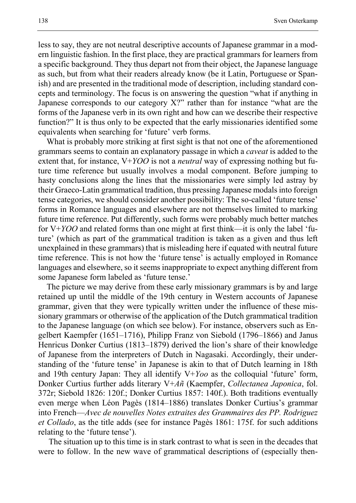less to say, they are not neutral descriptive accounts of Japanese grammar in a modern linguistic fashion. In the first place, they are practical grammars for learners from a specific background. They thus depart not from their object, the Japanese language as such, but from what their readers already know (be it Latin, Portuguese or Spanish) and are presented in the traditional mode of description, including standard concepts and terminology. The focus is on answering the question "what if anything in Japanese corresponds to our category X?" rather than for instance "what are the forms of the Japanese verb in its own right and how can we describe their respective function?" It is thus only to be expected that the early missionaries identified some equivalents when searching for 'future' verb forms.

What is probably more striking at first sight is that not one of the aforementioned grammars seems to contain an explanatory passage in which a *caveat* is added to the extent that, for instance, V+*YOO* is not a *neutral* way of expressing nothing but future time reference but usually involves a modal component. Before jumping to hasty conclusions along the lines that the missionaries were simply led astray by their Graeco-Latin grammatical tradition, thus pressing Japanese modals into foreign tense categories, we should consider another possibility: The so-called 'future tense' forms in Romance languages and elsewhere are not themselves limited to marking future time reference. Put differently, such forms were probably much better matches for V+*YOO* and related forms than one might at first think—it is only the label 'future' (which as part of the grammatical tradition is taken as a given and thus left unexplained in these grammars) that is misleading here if equated with neutral future time reference. This is not how the 'future tense' is actually employed in Romance languages and elsewhere, so it seems inappropriate to expect anything different from some Japanese form labeled as 'future tense.'

The picture we may derive from these early missionary grammars is by and large retained up until the middle of the 19th century in Western accounts of Japanese grammar, given that they were typically written under the influence of these missionary grammars or otherwise of the application of the Dutch grammatical tradition to the Japanese language (on which see below). For instance, observers such as Engelbert Kaempfer (1651–1716), Philipp Franz von Siebold (1796–1866) and Janus Henricus Donker Curtius (1813–1879) derived the lion's share of their knowledge of Japanese from the interpreters of Dutch in Nagasaki. Accordingly, their understanding of the 'future tense' in Japanese is akin to that of Dutch learning in 18th and 19th century Japan: They all identify V+*Yoo* as the colloquial 'future' form, Donker Curtius further adds literary V+*Añ* (Kaempfer, *Collectanea Japonica*, fol. 372r; Siebold 1826: 120f.; Donker Curtius 1857: 140f.). Both traditions eventually even merge when Léon Pagès (1814–1886) translates Donker Curtius's grammar into French—*Avec de nouvelles Notes extraites des Grammaires des PP. Rodriguez et Collado*, as the title adds (see for instance Pagès 1861: 175f. for such additions relating to the 'future tense').

The situation up to this time is in stark contrast to what is seen in the decades that were to follow. In the new wave of grammatical descriptions of (especially then-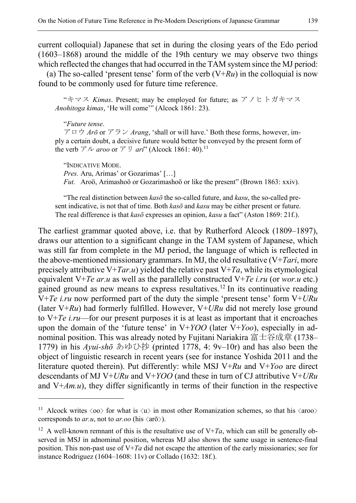current colloquial) Japanese that set in during the closing years of the Edo period  $(1603-1868)$  around the middle of the 19th century we may observe two things which reflected the changes that had occurred in the TAM system since the MJ period:

(a) The so-called 'present tense' form of the verb  $(V+Ru)$  in the colloquial is now found to be commonly used for future time reference.

"キマス *Kimas*. Present; may be employed for future; as アノヒトガキマス *Anohitoga kimas*, 'He will come'" (Alcock 1861: 23).

"*Future tense*.

 $\overline{a}$ 

アロウ *Arō* or アラン *Arang*, 'shall or will have.' Both these forms, however, imply a certain doubt, a decisive future would better be conveyed by the present form of the verb アル *aroo* or アリ *ari*" (Alcock 1861: 40).[11](#page-8-0)

"INDICATIVE MODE.

*Pres.* Aru, Arimas' or Gozarimas' […]

*Fut.* Aroö, Arimashoö or Gozarimashoö or like the present" (Brown 1863: xxiv).

"The real distinction between *kasō* the so-called future, and *kasu*, the so-called present indicative, is not that of time. Both *kasō* and *kasu* may be either present or future. The real difference is that *kasō* expresses an opinion, *kasu* a fact" (Aston 1869: 21f.).

The earliest grammar quoted above, i.e. that by Rutherford Alcock (1809–1897), draws our attention to a significant change in the TAM system of Japanese, which was still far from complete in the MJ period, the language of which is reflected in the above-mentioned missionary grammars. In MJ, the old resultative (V+*Tari*, more precisely attributive  $V+Tar.u$ ) yielded the relative past  $V+Ta$ , while its etymological equivalent V+*Te ar.u* as well as the parallelly constructed V+*Te i.ru* (or *wor.u* etc.) gained ground as new means to express resultatives.<sup>[12](#page-8-1)</sup> In its continuative reading V+*Te i.ru* now performed part of the duty the simple 'present tense' form V+*URu* (later V+*Ru*) had formerly fulfilled. However, V+*URu* did not merely lose ground to V+*Te i.ru*—for our present purposes it is at least as important that it encroaches upon the domain of the 'future tense' in V+*YOO* (later V+*Yoo*), especially in adnominal position. This was already noted by Fujitani Nariakira 富士谷成章 (1738– 1779) in his *Ayui-shō* あゆひ抄 (printed 1778, 4: 9v–10r) and has also been the object of linguistic research in recent years (see for instance Yoshida 2011 and the literature quoted therein). Put differently: while MSJ V+*Ru* and V+*Yoo* are direct descendants of MJ V+*URu* and V+*YOO* (and these in turn of CJ attributive V+*URu*  and V+*Am.u*), they differ significantly in terms of their function in the respective

<span id="page-8-0"></span><sup>&</sup>lt;sup>11</sup> Alcock writes  $\langle$ oo $\rangle$  for what is  $\langle u \rangle$  in most other Romanization schemes, so that his  $\langle$ aroo $\rangle$ corresponds to *ar.u*, not to *ar.oo* (his  $\langle a\vec{r}\rangle$ ).

<span id="page-8-1"></span><sup>&</sup>lt;sup>12</sup> A well-known remnant of this is the resultative use of  $V+Ta$ , which can still be generally observed in MSJ in adnominal position, whereas MJ also shows the same usage in sentence-final position. This non-past use of V+*Ta* did not escape the attention of the early missionaries; see for instance Rodriguez (1604–1608: 11v) or Collado (1632: 18f.).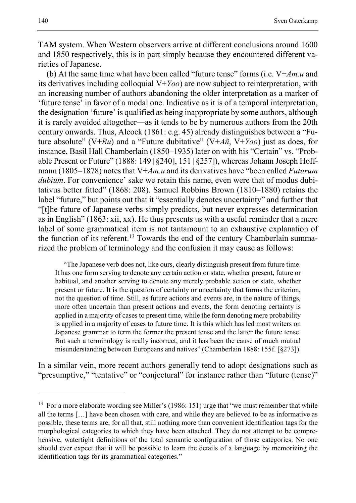TAM system. When Western observers arrive at different conclusions around 1600 and 1850 respectively, this is in part simply because they encountered different varieties of Japanese.

(b) At the same time what have been called "future tense" forms (i.e. V+*Am.u* and its derivatives including colloquial V+*Yoo*) are now subject to reinterpretation, with an increasing number of authors abandoning the older interpretation as a marker of 'future tense' in favor of a modal one. Indicative as it is of a temporal interpretation, the designation 'future' is qualified as being inappropriate by some authors, although it is rarely avoided altogether—as it tends to be by numerous authors from the 20th century onwards. Thus, Alcock (1861: e.g. 45) already distinguishes between a "Future absolute" (V+*Ru*) and a "Future dubitative" (V+*Añ*, V+*Yoo*) just as does, for instance, Basil Hall Chamberlain (1850–1935) later on with his "Certain" vs. "Probable Present or Future" (1888: 149 [§240], 151 [§257]), whereas Johann Joseph Hoffmann (1805–1878) notes that V+*Am.u* and its derivatives have "been called *Futurum dubium*. For convenience' sake we retain this name, even were that of modus dubitativus better fitted" (1868: 208). Samuel Robbins Brown (1810–1880) retains the label "future," but points out that it "essentially denotes uncertainty" and further that "[t]he future of Japanese verbs simply predicts, but never expresses determination as in English" (1863: xii, xx). He thus presents us with a useful reminder that a mere label of some grammatical item is not tantamount to an exhaustive explanation of the function of its referent.<sup>[13](#page-9-0)</sup> Towards the end of the century Chamberlain summarized the problem of terminology and the confusion it may cause as follows:

"The Japanese verb does not, like ours, clearly distinguish present from future time. It has one form serving to denote any certain action or state, whether present, future or habitual, and another serving to denote any merely probable action or state, whether present or future. It is the question of certainty or uncertainty that forms the criterion, not the question of time. Still, as future actions and events are, in the nature of things, more often uncertain than present actions and events, the form denoting certainty is applied in a majority of cases to present time, while the form denoting mere probability is applied in a majority of cases to future time. It is this which has led most writers on Japanese grammar to term the former the present tense and the latter the future tense. But such a terminology is really incorrect, and it has been the cause of much mutual misunderstanding between Europeans and natives" (Chamberlain 1888: 155f. [§273]).

In a similar vein, more recent authors generally tend to adopt designations such as "presumptive," "tentative" or "conjectural" for instance rather than "future (tense)"

<span id="page-9-0"></span><sup>&</sup>lt;sup>13</sup> For a more elaborate wording see Miller's (1986: 151) urge that "we must remember that while all the terms […] have been chosen with care, and while they are believed to be as informative as possible, these terms are, for all that, still nothing more than convenient identification tags for the morphological categories to which they have been attached. They do not attempt to be comprehensive, watertight definitions of the total semantic configuration of those categories. No one should ever expect that it will be possible to learn the details of a language by memorizing the identification tags for its grammatical categories."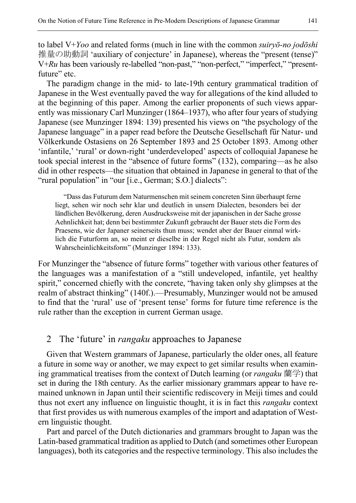to label V+*Yoo* and related forms (much in line with the common *suiryō-no jodōshi* 推量の助動詞 'auxiliary of conjecture' in Japanese), whereas the "present (tense)" V+*Ru* has been variously re-labelled "non-past," "non-perfect," "imperfect," "presentfuture" etc.

The paradigm change in the mid- to late-19th century grammatical tradition of Japanese in the West eventually paved the way for allegations of the kind alluded to at the beginning of this paper. Among the earlier proponents of such views apparently was missionary Carl Munzinger (1864–1937), who after four years of studying Japanese (see Munzinger 1894: 139) presented his views on "the psychology of the Japanese language" in a paper read before the Deutsche Gesellschaft für Natur- und Völkerkunde Ostasiens on 26 September 1893 and 25 October 1893. Among other 'infantile,' 'rural' or down-right 'underdeveloped' aspects of colloquial Japanese he took special interest in the "absence of future forms" (132), comparing—as he also did in other respects—the situation that obtained in Japanese in general to that of the "rural population" in "our [i.e., German; S.O.] dialects":

"Dass das Futurum dem Naturmenschen mit seinem concreten Sinn überhaupt ferne liegt, sehen wir noch sehr klar und deutlich in unsern Dialecten, besonders bei der ländlichen Bevölkerung, deren Ausdrucksweise mit der japanischen in der Sache grosse Aehnlichkeit hat; denn bei bestimmter Zukunft gebraucht der Bauer stets die Form des Praesens, wie der Japaner seinerseits thun muss; wendet aber der Bauer einmal wirklich die Futurform an, so meint er dieselbe in der Regel nicht als Futur, sondern als Wahrscheinlichkeitsform" (Munzinger 1894: 133).

For Munzinger the "absence of future forms" together with various other features of the languages was a manifestation of a "still undeveloped, infantile, yet healthy spirit," concerned chiefly with the concrete, "having taken only shy glimpses at the realm of abstract thinking" (140f.).—Presumably, Munzinger would not be amused to find that the 'rural' use of 'present tense' forms for future time reference is the rule rather than the exception in current German usage.

### 2 The 'future' in *rangaku* approaches to Japanese

Given that Western grammars of Japanese, particularly the older ones, all feature a future in some way or another, we may expect to get similar results when examining grammatical treatises from the context of Dutch learning (or *rangaku* 蘭学) that set in during the 18th century. As the earlier missionary grammars appear to have remained unknown in Japan until their scientific rediscovery in Meiji times and could thus not exert any influence on linguistic thought, it is in fact this *rangaku* context that first provides us with numerous examples of the import and adaptation of Western linguistic thought.

Part and parcel of the Dutch dictionaries and grammars brought to Japan was the Latin-based grammatical tradition as applied to Dutch (and sometimes other European languages), both its categories and the respective terminology. This also includes the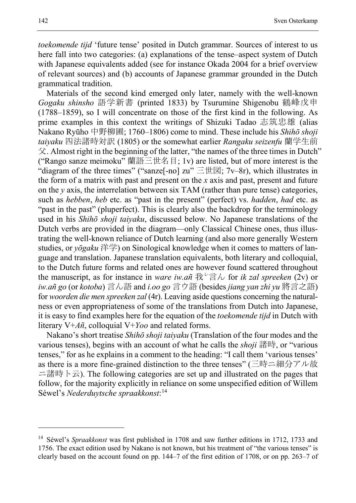*toekomende tijd* 'future tense' posited in Dutch grammar. Sources of interest to us here fall into two categories: (a) explanations of the tense–aspect system of Dutch with Japanese equivalents added (see for instance Okada 2004 for a brief overview of relevant sources) and (b) accounts of Japanese grammar grounded in the Dutch grammatical tradition.

Materials of the second kind emerged only later, namely with the well-known *Gogaku shinsho* 語学新書 (printed 1833) by Tsurumine Shigenobu 鶴峰戊申 (1788–1859), so I will concentrate on those of the first kind in the following. As prime examples in this context the writings of Shizuki Tadao 志筑忠雄 (alias Nakano Ryūho 中野柳圃; 1760–1806) come to mind. These include his *Shihō shoji taiyaku* 四法諸時対訳 (1805) or the somewhat earlier *Rangaku seizenfu* 蘭学生前  $\Diamond$ . Almost right in the beginning of the latter, "the names of the three times in Dutch" ("Rango sanze meimoku" 蘭語三世名目; 1v) are listed, but of more interest is the "diagram of the three times" ("sanze<sup>[-no]</sup> zu"  $\equiv \pm \equiv$ ; 7v–8r), which illustrates in the form of a matrix with past and present on the *x* axis and past, present and future on the *y* axis, the interrelation between six TAM (rather than pure tense) categories, such as *hebben*, *heb* etc. as "past in the present" (perfect) vs. *hadden*, *had* etc. as "past in the past" (pluperfect). This is clearly also the backdrop for the terminology used in his *Shihō shoji taiyaku*, discussed below. No Japanese translations of the Dutch verbs are provided in the diagram—only Classical Chinese ones, thus illustrating the well-known reliance of Dutch learning (and also more generally Western studies, or *yōgaku* 洋学) on Sinological knowledge when it comes to matters of language and translation. Japanese translation equivalents, both literary and colloquial, to the Dutch future forms and related ones are however found scattered throughout the manuscript, as for instance in *ware iw.añ*  $\mathbb{R}^{\nu}$   $\overrightarrow{\exists}$   $\sim$  *for ik zal spreeken* (2v) or *iw.añ go* (or *kotoba*) 言ん語 and *i.oo go* 言ウ語 (besides *jiang yan zhi yu* 將言之語) for *woorden die men spreeken zal* (4r). Leaving aside questions concerning the naturalness or even appropriateness of some of the translations from Dutch into Japanese, it is easy to find examples here for the equation of the *toekomende tijd* in Dutch with literary V+*Añ*, colloquial V+*Yoo* and related forms.

Nakano's short treatise *Shihō shoji taiyaku* (Translation of the four modes and the various tenses), begins with an account of what he calls the *shoji* 諸時, or "various tenses," for as he explains in a comment to the heading: "I call them 'various tenses' as there is a more fine-grained distinction to the three tenses" (三時ニ細分アル故 ニ諸時ト云). The following categories are set up and illustrated on the pages that follow, for the majority explicitly in reliance on some unspecified edition of Willem Séwel's *Nederduytsche spraakkonst*: [14](#page-11-0)

<span id="page-11-0"></span><sup>&</sup>lt;sup>14</sup> Séwel's *Spraakkonst* was first published in 1708 and saw further editions in 1712, 1733 and 1756. The exact edition used by Nakano is not known, but his treatment of "the various tenses" is clearly based on the account found on pp. 144–7 of the first edition of 1708, or on pp. 263–7 of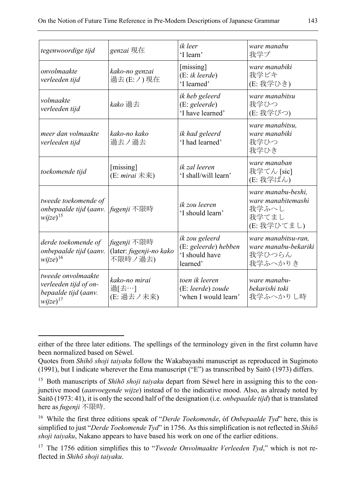| tegenwoordige tijd                                                                   | genzai 現在                                         | ik leer<br>'I learn'                                                 | ware manabu<br>我学ブ                                                        |
|--------------------------------------------------------------------------------------|---------------------------------------------------|----------------------------------------------------------------------|---------------------------------------------------------------------------|
| onvolmaakte<br>verleeden tijd                                                        | kako-no genzai<br>過去(E:ノ) 現在                      | [missing]<br>$(E: ik \, leerde)$<br>'I learned'                      | ware manabiki<br>我学ビキ<br>(E: 我学ひき)                                        |
| volmaakte<br>verleeden tijd                                                          | kako 過去                                           | ik heb geleerd<br>(E: geleerde)<br>'I have learned'                  | ware manabitsu<br>我学ひつ<br>(E: 我学びつ)                                       |
| meer dan volmaakte<br>verleeden tijd                                                 | kako-no kako<br>過去ノ過去                             | ik had geleerd<br>'I had learned'                                    | ware manabitsu,<br>ware manabiki<br>我学ひつ<br>我学ひき                          |
| toekomende tijd                                                                      | [missing]<br>(E: mirai 未来)                        | ik zal leeren<br>'I shall/will learn'                                | ware manaban<br>我学てん [sic]<br>(E: 我学ばん)                                   |
| tweede toekomende of<br>onbepaalde tijd (aanv.<br>$wijze)^{15}$                      | fugenji 不限時                                       | ik zou leeren<br>'I should learn'                                    | ware manabu-beshi,<br>ware manabitemashi<br>我学ふへし<br>我学てまし<br>(E: 我学ひてまし) |
| derde toekomende of<br>onbepaalde tijd (aanv.<br>$wijze)^{16}$                       | fugenji 不限時<br>(later: fugenji-no kako<br>不限時ノ過去) | ik zou geleerd<br>(E: geleerde) hebben<br>'I should have<br>learned' | ware manabitsu-ran,<br>ware manabu-bekariki<br>我学ひつらん<br>我学ふへかりき          |
| tweede onvolmaakte<br>verleeden tijd of on-<br>bepaalde tijd (aanv.<br>$wijze)^{17}$ | kako-no mirai<br>過[去…]<br>(E: 過去ノ未来)              | toen ik leeren<br>(E: leerde) zoude<br>'when I would learn'          | ware manabu-<br>bekarishi toki<br>我学ふへかりし時                                |

either of the three later editions. The spellings of the terminology given in the first column have been normalized based on Séwel.

Quotes from *Shihō shoji taiyaku* follow the Wakabayashi manuscript as reproduced in Sugimoto (1991), but I indicate wherever the Ema manuscript ("E") as transcribed by Saitō (1973) differs.

<span id="page-12-0"></span><sup>15</sup> Both manuscripts of *Shihō shoji taiyaku* depart from Séwel here in assigning this to the conjunctive mood (*aanvoegende wijze*) instead of to the indicative mood. Also, as already noted by Saitō (1973: 41), it is only the second half of the designation (i.e. *onbepaalde tijd*) that is translated here as *fugenji* 不限時.

<span id="page-12-1"></span><sup>16</sup> While the first three editions speak of "*Derde Toekomende*, óf *Onbepaalde Tyd*" here, this is simplified to just "*Derde Toekomende Tyd*" in 1756. As this simplification is not reflected in *Shihō shoji taiyaku*, Nakano appears to have based his work on one of the earlier editions.

<span id="page-12-2"></span><sup>&</sup>lt;sup>17</sup> The 1756 edition simplifies this to "*Tweede Onvolmaakte Verleeden Tyd*," which is not reflected in *Shihō shoji taiyaku*.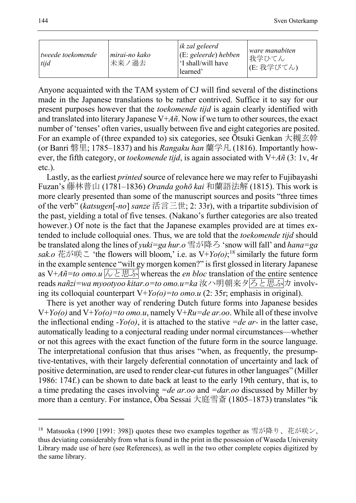| wweede toekomende<br>tijd | mirai-no kako<br>未来ノ過去 | ik zal geleerd<br>$\vert$ (E: geleerde) hebben<br>'I shall/will have<br>learned' | ware manabiten<br>我学ひてん<br> (E: 我学びてん) |
|---------------------------|------------------------|----------------------------------------------------------------------------------|----------------------------------------|
|---------------------------|------------------------|----------------------------------------------------------------------------------|----------------------------------------|

Anyone acquainted with the TAM system of CJ will find several of the distinctions made in the Japanese translations to be rather contrived. Suffice it to say for our present purposes however that the *toekomende tijd* is again clearly identified with and translated into literary Japanese  $V+A\tilde{n}$ . Now if we turn to other sources, the exact number of 'tenses' often varies, usually between five and eight categories are posited. For an example of (three expanded to) six categories, see Ōtsuki Genkan 大槻玄幹 (or Banri 磐里; 1785–1837) and his *Rangaku han* 蘭学凡 (1816). Importantly however, the fifth category, or *toekomende tijd*, is again associated with V+*Añ* (3: 1v, 4r etc.).

Lastly, as the earliest *printed* source of relevance here we may refer to Fujibayashi Fuzan's 藤林普山 (1781–1836) *Oranda gohō kai* 和蘭語法解 (1815). This work is more clearly presented than some of the manuscript sources and posits "three times of the verb" (*katsugen*[*-no*] *sanze* 活言三世; 2: 33r), with a tripartite subdivision of the past, yielding a total of five tenses. (Nakano's further categories are also treated however.) Of note is the fact that the Japanese examples provided are at times extended to include colloquial ones. Thus, we are told that the *toekomende tijd* should be translated along the lines of *yuki=ga hur.o* 雪が降ろ 'snow will fall' and *hana=ga sak.o* 花が咲こ 'the flowers will bloom,' i.e. as V+*Yo(o)*; [18](#page-13-0) similarly the future form in the example sentence "wilt gy morgen komen?" is first glossed in literary Japanese as V+ $A\tilde{n}$ =to omo.u  $\sqrt{\lambda \geq \mathbb{R}\cdot\mathbb{S}}$  whereas the *en bloc* translation of the entire sentence reads *nañzi=wa myootyoo kitar.o=to omo.u=ka* 汝ハ明朝来タろと思ふカ involving its colloquial counterpart V+*Yo(o)=to omo.u* (2: 35r; emphasis in original).

There is yet another way of rendering Dutch future forms into Japanese besides V+*Yo(o)* and V+*Yo(o)=to omo.u*, namely V+*Ru=de ar.oo*. While all of these involve the inflectional ending *-Yo(o)*, it is attached to the stative *=de ar-* in the latter case, automatically leading to a conjectural reading under normal circumstances—whether or not this agrees with the exact function of the future form in the source language. The interpretational confusion that thus arises "when, as frequently, the presumptive-tentatives, with their largely deferential connotation of uncertainty and lack of positive determination, are used to render clear-cut futures in other languages" (Miller 1986: 174f.) can be shown to date back at least to the early 19th century, that is, to a time predating the cases involving *=de ar.oo* and *=dar.oo* discussed by Miller by more than a century. For instance, Ōba Sessai 大庭雪斎 (1805–1873) translates "ik

<span id="page-13-0"></span><sup>18</sup> Matsuoka (1990 [1991: 398]) quotes these two examples together as 雪が降り、花が咲ン, thus deviating considerably from what is found in the print in the possession of Waseda University Library made use of here (see References), as well in the two other complete copies digitized by the same library.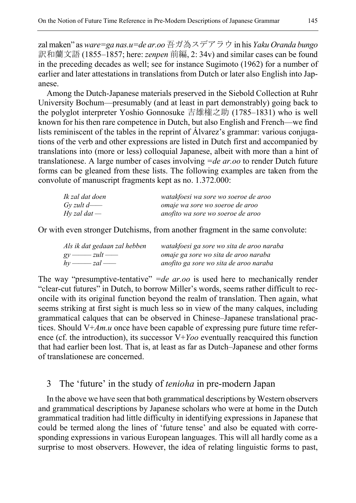zal maken" as *ware=ga nas.u=de ar.oo*吾ガ為スデアラウ in his *Yaku Oranda bungo* 訳和蘭文語 (1855–1857; here: *zenpen* 前編, 2: 34v) and similar cases can be found in the preceding decades as well; see for instance Sugimoto (1962) for a number of earlier and later attestations in translations from Dutch or later also English into Japanese.

Among the Dutch-Japanese materials preserved in the Siebold Collection at Ruhr University Bochum—presumably (and at least in part demonstrably) going back to the polyglot interpreter Yoshio Gonnosuke 吉雄権之助 (1785–1831) who is well known for his then rare competence in Dutch, but also English and French—we find lists reminiscent of the tables in the reprint of Álvarez's grammar: various conjugations of the verb and other expressions are listed in Dutch first and accompanied by translations into (more or less) colloquial Japanese, albeit with more than a hint of translationese. A large number of cases involving *=de ar.oo* to render Dutch future forms can be gleaned from these lists. The following examples are taken from the convolute of manuscript fragments kept as no. 1.372.000:

| Ik zal dat doen | watakfoesi wa sore wo soeroe de aroo |
|-----------------|--------------------------------------|
| Gy zult d— $-$  | omaje wa sore wo soeroe de aroo      |
| Hy zal dat $-$  | anofito wa sore wo soeroe de aroo    |

Or with even stronger Dutchisms, from another fragment in the same convolute:

| Als ik dat gedaan zal hebben | watakfoesi ga sore wo sita de aroo naraba |
|------------------------------|-------------------------------------------|
| $gy \longrightarrow zult$    | omaje ga sore wo sita de aroo naraba      |
| $hv \longrightarrow zal$     | anofito ga sore wo sita de aroo naraba    |

The way "presumptive-tentative" *=de ar.oo* is used here to mechanically render "clear-cut futures" in Dutch, to borrow Miller's words, seems rather difficult to reconcile with its original function beyond the realm of translation. Then again, what seems striking at first sight is much less so in view of the many calques, including grammatical calques that can be observed in Chinese–Japanese translational practices. Should V+*Am.u* once have been capable of expressing pure future time reference (cf. the introduction), its successor V+*Yoo* eventually reacquired this function that had earlier been lost. That is, at least as far as Dutch–Japanese and other forms of translationese are concerned.

### 3 The 'future' in the study of *tenioha* in pre-modern Japan

In the above we have seen that both grammatical descriptions by Western observers and grammatical descriptions by Japanese scholars who were at home in the Dutch grammatical tradition had little difficulty in identifying expressions in Japanese that could be termed along the lines of 'future tense' and also be equated with corresponding expressions in various European languages. This will all hardly come as a surprise to most observers. However, the idea of relating linguistic forms to past,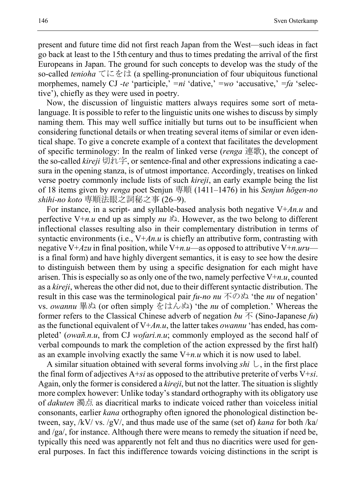present and future time did not first reach Japan from the West—such ideas in fact go back at least to the 15th century and thus to times predating the arrival of the first Europeans in Japan. The ground for such concepts to develop was the study of the so-called *tenioha* てにをは (a spelling-pronunciation of four ubiquitous functional morphemes, namely CJ *-te* 'participle,' *=ni* 'dative,' *=wo* 'accusative,' *=fa* 'selective'), chiefly as they were used in poetry.

Now, the discussion of linguistic matters always requires some sort of metalanguage. It is possible to refer to the linguistic units one wishes to discuss by simply naming them. This may well suffice initially but turns out to be insufficient when considering functional details or when treating several items of similar or even identical shape. To give a concrete example of a context that facilitates the development of specific terminology: In the realm of linked verse (*renga* 連歌), the concept of the so-called *kireji* 切れ字, or sentence-final and other expressions indicating a caesura in the opening stanza, is of utmost importance. Accordingly, treatises on linked verse poetry commonly include lists of such *kireji*, an early example being the list of 18 items given by *renga* poet Senjun 専順 (1411–1476) in his *Senjun hōgen-no shihi-no koto* 専順法眼之詞秘之事 (26–9).

For instance, in a script- and syllable-based analysis both negative V+*An.u* and perfective  $V+n.u$  end up as simply  $nu \, \lambda$ . However, as the two belong to different inflectional classes resulting also in their complementary distribution in terms of syntactic environments (i.e.,  $V+A_nu$  is chiefly an attributive form, contrasting with negative V+*Azu* in final position, while V+*n.u*—as opposed to attributive V+*n.uru* is a final form) and have highly divergent semantics, it is easy to see how the desire to distinguish between them by using a specific designation for each might have arisen. This is especially so as only one of the two, namely perfective V+*n.u*, counted as a *kireji*, whereas the other did not, due to their different syntactic distribution. The result in this case was the terminological pair *fu-no nu* 不のぬ 'the *nu* of negation' vs. *owannu* 畢ぬ (or often simply をはんぬ) 'the *nu* of completion.' Whereas the former refers to the Classical Chinese adverb of negation  $bu \, \vec{\wedge}$  (Sino-Japanese  $fu$ ) as the functional equivalent of V+*An.u*, the latter takes *owannu* 'has ended, has completed' (*owañ.n.u*, from CJ *wofari.n.u*; commonly employed as the second half of verbal compounds to mark the completion of the action expressed by the first half) as an example involving exactly the same V+*n.u* which it is now used to label.

A similar situation obtained with several forms involving *shi* し, in the first place the final form of adjectives A+*si* as opposed to the attributive preterite of verbs V+*si*. Again, only the former is considered a *kireji*, but not the latter. The situation is slightly more complex however: Unlike today's standard orthography with its obligatory use of *dakuten* 濁点 as diacritical marks to indicate voiced rather than voiceless initial consonants, earlier *kana* orthography often ignored the phonological distinction between, say, /kV/ vs. /gV/, and thus made use of the same (set of) *kana* for both /ka/ and /ga/, for instance. Although there were means to remedy the situation if need be, typically this need was apparently not felt and thus no diacritics were used for general purposes. In fact this indifference towards voicing distinctions in the script is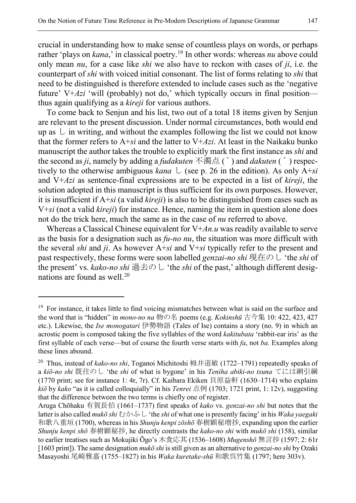crucial in understanding how to make sense of countless plays on words, or perhaps rather 'plays on *kana*,' in classical poetry.<sup>[19](#page-16-0)</sup> In other words: whereas *nu* above could only mean *nu*, for a case like *shi* we also have to reckon with cases of *ji*, i.e. the counterpart of *shi* with voiced initial consonant. The list of forms relating to *shi* that need to be distinguished is therefore extended to include cases such as the 'negative future' V+*Azi* 'will (probably) not do,' which typically occurs in final position thus again qualifying as a *kireji* for various authors.

To come back to Senjun and his list, two out of a total 18 items given by Senjun are relevant to the present discussion. Under normal circumstances, both would end up as  $\cup$  in writing, and without the examples following the list we could not know that the former refers to A+*si* and the latter to V+*Azi*. At least in the Naikaku bunko manuscript the author takes the trouble to explicitly mark the first instance as *shi* and the second as *ji*, namely by adding a *fudakuten* 不濁点 ( ゜) and *dakuten* ( ゛) respectively to the otherwise ambiguous *kana* し (see p. 26 in the edition). As only A+*si* and V+*Azi* as sentence-final expressions are to be expected in a list of *kireji*, the solution adopted in this manuscript is thus sufficient for its own purposes. However, it is insufficient if A+*si* (a valid *kireji*) is also to be distinguished from cases such as V+*si* (not a valid *kireji*) for instance. Hence, naming the item in question alone does not do the trick here, much the same as in the case of *nu* referred to above.

Whereas a Classical Chinese equivalent for V+*An.u* was readily available to serve as the basis for a designation such as *fu-no nu*, the situation was more difficult with the several *shi* and *ji*. As however A+*si* and V+*si* typically refer to the present and past respectively, these forms were soon labelled *genzai-no shi* 現在のし 'the *shi* of the present' vs. *kako-no shi* 過去のし 'the *shi* of the past,' although different desig-nations are found as well.<sup>[20](#page-16-1)</sup>

<span id="page-16-0"></span><sup>&</sup>lt;sup>19</sup> For instance, it takes little to find voicing mismatches between what is said on the surface and the word that is "hidden" in *mono-no na* 物の名 poems (e.g. *Kokinshū* 古今集 10: 422, 423, 427 etc.). Likewise, the *Ise monogatari* 伊勢物語 (Tales of Ise) contains a story (no. 9) in which an acrostic poem is composed taking the five syllables of the word *kakitubata* 'rabbit-ear iris' as the first syllable of each verse—but of course the fourth verse starts with *fa*, not *ba*. Examples along these lines abound.

<span id="page-16-1"></span><sup>20</sup> Thus, instead of *kako-no shi*, Toganoi Michitoshi 栂井道敏 (1722–1791) repeatedly speaks of a *kiō-no shi* 既往のし 'the *shi* of what is bygone' in his *Teniha abiki-no tsuna* てには網引綱 (1770 print; see for instance 1: 4r, 7r). Cf. Kaibara Ekiken 貝原益軒 (1630–1714) who explains *kiō* by *kako* "as it is called colloquially" in his *Tenrei* 点例 (1703; 1721 print, 1: 12v), suggesting that the difference between the two terms is chiefly one of register.

Aruga Chōhaku 有賀長伯 (1661–1737) first speaks of *kako* vs. *genzai-no shi* but notes that the latter is also called *mukō shi* むかふし 'the *shi* of what one is presently facing' in his *Waka yaegaki* 和歌八重垣 (1700), whereas in his *Shunju kenpi zōshō* 春樹顕秘増抄, expanding upon the earlier *Shunju kenpi shō* 春樹顕秘抄, he directly contrasts the *kako-no shi* with *mukō shi* (158), similar to earlier treatises such as Mokujiki Ōgo's 木食応其 (1536–1608) *Mugenshō* 無言抄 (1597; 2: 61r [1603 print]). The same designation *mukō shi* is still given as an alternative to *genzai-no shi* by Ozaki Masayoshi 尾崎雅嘉 (1755–1827) in his *Waka kuretake-shū* 和歌呉竹集 (1797; here 303v).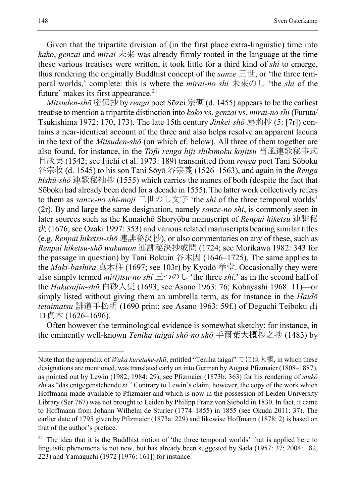Given that the tripartite division of (in the first place extra-linguistic) time into *kako*, *genzai* and *mirai* 未来 was already firmly rooted in the language at the time these various treatises were written, it took little for a third kind of *shi* to emerge, thus rendering the originally Buddhist concept of the *sanze* 三世, or 'the three temporal worlds,' complete: this is where the *mirai-no shi* 未来のし 'the *shi* of the future' makes its first appearance. $21$ 

*Mitsuden-shō* 密伝抄 by *renga* poet Sōzei 宗砌 (d. 1455) appears to be the earliest treatise to mention a tripartite distinction into *kako* vs. *genzai* vs. *mirai-no shi* (Furuta/ Tsukishima 1972: 170, 173). The late 15th century *Jinkei-shō* 塵荊抄 (5: [7r]) contains a near-identical account of the three and also helps resolve an apparent lacuna in the text of the *Mitsuden-shō* (on which cf. below). All three of them together are also found, for instance, in the *Tōfū renga hiji shikimoku kojitsu* 当風連歌秘事式 目故実 (1542; see Ijichi et al. 1973: 189) transmitted from *renga* poet Tani Sōboku 谷宗牧 (d. 1545) to his son Tani Sōyō 谷宗養 (1526–1563), and again in the *Renga hishū-shō* 連歌秘袖抄 (1555) which carries the names of both (despite the fact that Sōboku had already been dead for a decade in 1555). The latter work collectively refers to them as *sanze-no shi-moji* 三世のし文字 'the *shi* of the three temporal worlds' (2r). By and large the same designation, namely *sanze-no shi*, is commonly seen in later sources such as the Kunaichō Shoryōbu manuscript of *Renpai hiketsu* 連誹秘 決 (1676; see Ozaki 1997: 353) and various related manuscripts bearing similar titles (e.g. *Renpai hiketsu-shō* 連誹秘決抄), or also commentaries on any of these, such as *Renpai hiketsu-shō wakumon* 連誹秘決抄或問 (1724; see Morikawa 1982: 343 for the passage in question) by Tani Bokuin 谷木因 (1646–1725). The same applies to the *Maki-bashira* 真木柱 (1697; see 103r) by Kyodō 挙堂. Occasionally they were also simply termed  $mi(t)$ tsu-no shi  $\equiv \supset \bigcirc \bigcirc$  the three *shi*,' as in the second half of the *Hakusajin-shū* 白砂人集 (1693; see Asano 1963: 76; Kobayashi 1968: 11)—or simply listed without giving them an umbrella term, as for instance in the *Haidō tetaimatsu* 誹道手松明 (1690 print; see Asano 1963: 59f.) of Deguchi Teiboku 出 口貞木 (1626–1696).

Often however the terminological evidence is somewhat sketchy: for instance, in the eminently well-known *Teniha taigai shō-no shō* 手爾葉大概抄之抄 (1483) by

Note that the appendix of *Waka kuretake-shū*, entitled "Teniha taigai" てには大概, in which these designations are mentioned, was translated early on into German by August Pfizmaier (1808–1887), as pointed out by Lewin (1982; 1984: 29); see Pfizmaier (1873b: 363) for his rendering of *mukō shi* as "das entgegenstehende *si*." Contrary to Lewin's claim, however, the copy of the work which Hoffmann made available to Pfizmaier and which is now in the possession of Leiden University Library (Ser.767) was not brought to Leiden by Philipp Franz von Siebold in 1830. In fact, it came to Hoffmann from Johann Wilhelm de Sturler (1774–1855) in 1855 (see Okuda 2011: 37). The earlier date of 1795 given by Pfizmaier (1873a: 229) and likewise Hoffmann (1878: 2) is based on that of the author's preface.

<span id="page-17-0"></span><sup>&</sup>lt;sup>21</sup> The idea that it is the Buddhist notion of 'the three temporal worlds' that is applied here to linguistic phenomena is not new, but has already been suggested by Sada (1957: 37; 2004: 182, 223) and Yamaguchi (1972 [1976: 161]) for instance.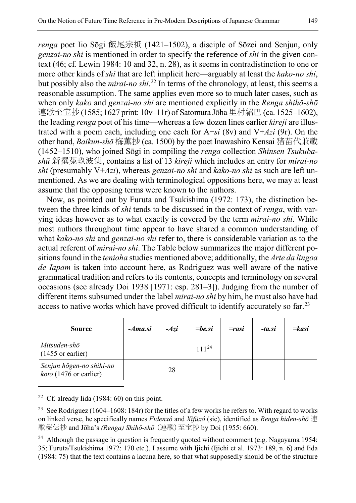*renga* poet Iio Sōgi 飯尾宗祇 (1421–1502), a disciple of Sōzei and Senjun, only *genzai-no shi* is mentioned in order to specify the reference of *shi* in the given context (46; cf. Lewin 1984: 10 and 32, n. 28), as it seems in contradistinction to one or more other kinds of *shi* that are left implicit here—arguably at least the *kako-no shi*, but possibly also the *mirai-no shi*. [22](#page-18-0) In terms of the chronology, at least, this seems a reasonable assumption. The same applies even more so to much later cases, such as when only *kako* and *genzai-no shi* are mentioned explicitly in the *Renga shihō-shō* 連歌至宝抄(1585; 1627 print: 10v-11r) of Satomura Jōha 里村紹巴(ca. 1525-1602), the leading *renga* poet of his time—whereas a few dozen lines earlier *kireji* are illustrated with a poem each, including one each for A+*si* (8v) and V+*Azi* (9r). On the other hand, *Baikun-shō* 梅薫抄 (ca. 1500) by the poet Inawashiro Kensai 猪苗代兼載 (1452–1510), who joined Sōgi in compiling the *renga* collection *Shinsen Tsukubashū* 新撰菟玖波集, contains a list of 13 *kireji* which includes an entry for *mirai-no shi* (presumably V+*Azi*), whereas *genzai-no shi* and *kako-no shi* as such are left unmentioned. As we are dealing with terminological oppositions here, we may at least assume that the opposing terms were known to the authors.

Now, as pointed out by Furuta and Tsukishima (1972: 173), the distinction between the three kinds of *shi* tends to be discussed in the context of *renga*, with varying ideas however as to what exactly is covered by the term *mirai-no shi*. While most authors throughout time appear to have shared a common understanding of what *kako-no shi* and *genzai-no shi* refer to, there is considerable variation as to the actual referent of *mirai-no shi*. The Table below summarizes the major different positions found in the *tenioha* studies mentioned above; additionally, the *Arte da lingoa de Iapam* is taken into account here, as Rodriguez was well aware of the native grammatical tradition and refers to its contents, concepts and terminology on several occasions (see already Doi 1938 [1971: esp. 281–3]). Judging from the number of different items subsumed under the label *mirai-no shi* by him, he must also have had access to native works which have proved difficult to identify accurately so far.<sup>[23](#page-18-1)</sup>

| <b>Source</b>                                             | $-Ama$ si | $-Azi$ | $=$ be.si  | $=$ rasi | -ta.si | $=kasi$ |
|-----------------------------------------------------------|-----------|--------|------------|----------|--------|---------|
| Mitsuden-shō<br>$(1455 \text{ or earlier})$               |           |        | $111^{24}$ |          |        |         |
| Senjun hōgen-no shihi-no<br><i>koto</i> (1476 or earlier) |           | 28     |            |          |        |         |

<span id="page-18-0"></span><sup>22</sup> Cf. already Iida (1984: 60) on this point.

 $\overline{a}$ 

<span id="page-18-1"></span><sup>23</sup> See Rodriguez (1604–1608: 184r) for the titles of a few works he refers to. With regard to works on linked verse, he specifically names *Fidenxô* and *Xifǔxô* (sic), identified as *Renga hiden-shō* 連 歌秘伝抄 and Jōha's *(Renga) Shihō-shō* (連歌)至宝抄 by Doi (1955: 660).

<span id="page-18-2"></span><sup>24</sup> Although the passage in question is frequently quoted without comment (e.g. Nagayama 1954: 35; Furuta/Tsukishima 1972: 170 etc.), I assume with Ijichi (Ijichi et al. 1973: 189, n. 6) and Iida (1984: 75) that the text contains a lacuna here, so that what supposedly should be of the structure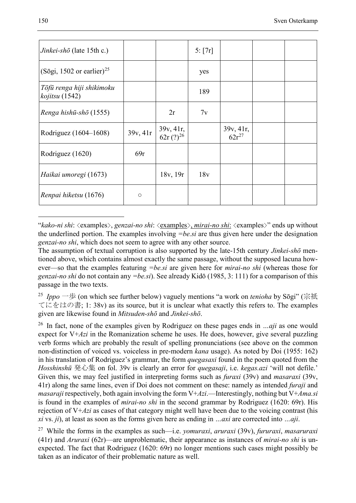<span id="page-19-4"></span>

| Jinkei-shō (late 15th c.)                    |          |                            | 5: [7r] |                         |  |
|----------------------------------------------|----------|----------------------------|---------|-------------------------|--|
| $(S\bar{o}gi, 1502 \text{ or earlier})^{25}$ |          |                            | yes     |                         |  |
| Tōfū renga hiji shikimoku<br>kojitsu (1542)  |          |                            | 189     |                         |  |
| Renga hishū-shō (1555)                       |          | 2r                         | 7v      |                         |  |
| Rodriguez (1604–1608)                        | 39v, 41r | 39v, 41r,<br>$62r(?)^{26}$ |         | 39v, 41r,<br>$62r^{27}$ |  |
| Rodriguez (1620)                             | 69r      |                            |         |                         |  |
| Haikai umoregi (1673)                        |          | 18v, 19r                   | 18v     |                         |  |
| Renpai hiketsu (1676)                        | $\circ$  |                            |         |                         |  |

<span id="page-19-3"></span>"*kako-ni shi*: <examples>, *genzai-no shi*: <examples>, *mirai-no shi*: <examples>" ends up without the underlined portion. The examples involving *=be.si* are thus given here under the designation *genzai-no shi*, which does not seem to agree with any other source.

The assumption of textual corruption is also supported by the late-15th century *Jinkei-shō* mentioned above, which contains almost exactly the same passage, without the supposed lacuna however—so that the examples featuring *=be.si* are given here for *mirai-no shi* (whereas those for *genzai-no shi* do not contain any *=be.si*). See already Kidō (1985, 3: 111) for a comparison of this passage in the two texts.

<span id="page-19-0"></span><sup>25</sup> *Ippo* 一歩 (on which see further below) vaguely mentions "a work on *tenioha* by Sōgi" (宗祇 てにをはの書; 1: 38v) as its source, but it is unclear what exactly this refers to. The examples given are likewise found in *Mitsuden-shō* and *Jinkei-shō*.

<span id="page-19-1"></span><sup>26</sup> In fact, none of the examples given by Rodriguez on these pages ends in *…aji* as one would expect for V+*Azi* in the Romanization scheme he uses. He does, however, give several puzzling verb forms which are probably the result of spelling pronunciations (see above on the common non-distinction of voiced vs. voiceless in pre-modern *kana* usage). As noted by Doi (1955: 162) in his translation of Rodriguez's grammar, the form *quegasaxi* found in the poem quoted from the *Hosshinshū* 発心集 on fol. 39v is clearly an error for *quegasaji*, i.e. *kegas.azi* 'will not defile.' Given this, we may feel justified in interpreting forms such as *furaxi* (39v) and *masaraxi* (39v, 41r) along the same lines, even if Doi does not comment on these: namely as intended *furaji* and *masaraji* respectively, both again involving the form V+*Azi*.—Interestingly, nothing but V+*Ama.si* is found in the examples of *mirai-no shi* in the second grammar by Rodriguez (1620: 69r). His rejection of V+*Azi* as cases of that category might well have been due to the voicing contrast (his *xi* vs. *ji*), at least as soon as the forms given here as ending in *…axi* are corrected into *…aji*.

<span id="page-19-2"></span><sup>27</sup> While the forms in the examples as such—i.e. *yomuraxi*, *aruraxi* (39v), *fururaxi*, *masaruraxi* (41r) and *Aruraxi* (62r)—are unproblematic, their appearance as instances of *mirai-no shi* is unexpected. The fact that Rodriguez (1620: 69r) no longer mentions such cases might possibly be taken as an indicator of their problematic nature as well.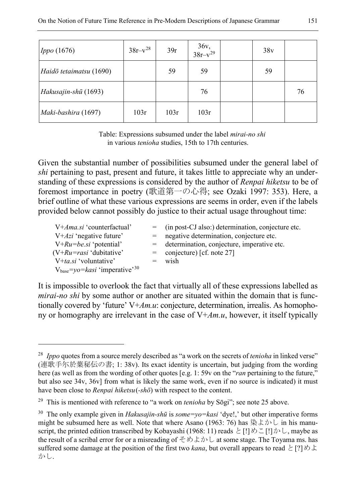| $\vert$ <i>Ippo</i> (1676) | $38r-v^{28}$ | 39r  | $36v,$<br>$38r-v^{29}$ | 38v |    |
|----------------------------|--------------|------|------------------------|-----|----|
| Haidō tetaimatsu (1690)    |              | 59   | 59                     | 59  |    |
| Hakusajin-shū (1693)       |              |      | 76                     |     | 76 |
| Maki-bashira (1697)        | 103r         | 103r | 103r                   |     |    |

<span id="page-20-3"></span>Table: Expressions subsumed under the label *mirai-no shi* in various *tenioha* studies, 15th to 17th centuries.

Given the substantial number of possibilities subsumed under the general label of *shi* pertaining to past, present and future, it takes little to appreciate why an understanding of these expressions is considered by the author of *Renpai hiketsu* to be of foremost importance in poetry (歌道第一の心得; see Ozaki 1997: 353). Here, a brief outline of what these various expressions are seems in order, even if the labels provided below cannot possibly do justice to their actual usage throughout time:

| $V+ Ama.si$ 'counterfactual'                            | $=$ (in post-CJ also:) determination, conjecture etc. |
|---------------------------------------------------------|-------------------------------------------------------|
| $V + Azi$ 'negative future'                             | $=$ negative determination, conjecture etc.           |
| $V+Ru=be$ si 'potential'                                | $=$ determination, conjecture, imperative etc.        |
| $(V+Ru=rasi 'dubitative'$                               | $=$ conjecture) [cf. note 27]                         |
| $V+ta.si$ 'voluntative'                                 | wish                                                  |
| $V_{base} = \gamma o = kasi$ 'imperative' <sup>30</sup> |                                                       |

It is impossible to overlook the fact that virtually all of these expressions labelled as *mirai-no shi* by some author or another are situated within the domain that is functionally covered by 'future' V+*Am.u*: conjecture, determination, irrealis. As homophony or homography are irrelevant in the case of V+*Am.u*, however, it itself typically

<span id="page-20-0"></span><sup>28</sup> *Ippo* quotes from a source merely described as "a work on the secrets of *tenioha* in linked verse" (連歌手尓於葉秘伝の書; 1: 38v). Its exact identity is uncertain, but judging from the wording here (as well as from the wording of other quotes [e.g. 1: 59v on the "*ran* pertaining to the future," but also see 34v, 36v] from what is likely the same work, even if no source is indicated) it must have been close to *Renpai hiketsu*(*-shō*) with respect to the content.

<span id="page-20-1"></span><sup>29</sup> This is mentioned with reference to "a work on *tenioha* by Sōgi"; see note [25](#page-19-4) above.

<span id="page-20-2"></span><sup>30</sup> The only example given in *Hakusajin-shū* is *some=yo=kasi* 'dye!,' but other imperative forms might be subsumed here as well. Note that where Asano (1963: 76) has 染よかし in his manuscript, the printed edition transcribed by Kobayashi (1968: 11) reads と[!]めこ[!]かし, maybe as the result of a scribal error for or a misreading of そめよかし at some stage. The Toyama ms. has suffered some damage at the position of the first two *kana*, but overall appears to read と[?] めよ かし.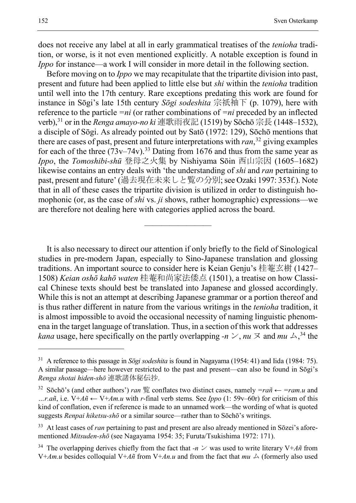does not receive any label at all in early grammatical treatises of the *tenioha* tradition, or worse, is it not even mentioned explicitly. A notable exception is found in *Ippo* for instance—a work I will consider in more detail in the following section.

Before moving on to *Ippo* we may recapitulate that the tripartite division into past, present and future had been applied to little else but *shi* within the *tenioha* tradition until well into the 17th century. Rare exceptions predating this work are found for instance in Sōgi's late 15th century *Sōgi sodeshita* 宗祇袖下 (p. 1079), here with reference to the particle *=ni* (or rather combinations of *=ni* preceded by an inflected verb),[31](#page-21-0) or in the *Renga amayo-no ki* 連歌雨夜記 (1519) by Sōchō 宗長 (1448–1532), a disciple of Sōgi. As already pointed out by Satō (1972: 129), Sōchō mentions that there are cases of past, present and future interpretations with *ran*, [32](#page-21-1) giving examples for each of the three  $(73v-74v)$ .<sup>[33](#page-21-2)</sup> Dating from 1676 and thus from the same year as *Ippo*, the *Tomoshibi-shū* 登母之火集 by Nishiyama Sōin 西山宗因 (1605–1682) likewise contains an entry deals with 'the understanding of *shi* and *ran* pertaining to past, present and future' (過去現在未来しと覧の分別;see Ozaki 1997: 353f.). Note that in all of these cases the tripartite division is utilized in order to distinguish homophonic (or, as the case of *shi* vs. *ji* shows, rather homographic) expressions—we are therefore not dealing here with categories applied across the board.

It is also necessary to direct our attention if only briefly to the field of Sinological studies in pre-modern Japan, especially to Sino-Japanese translation and glossing traditions. An important source to consider here is Keian Genju's 桂菴玄樹 (1427– 1508) *Keian oshō kahō waten* 桂菴和尚家法倭点 (1501), a treatise on how Classical Chinese texts should best be translated into Japanese and glossed accordingly. While this is not an attempt at describing Japanese grammar or a portion thereof and is thus rather different in nature from the various writings in the *tenioha* tradition, it is almost impossible to avoid the occasional necessity of naming linguistic phenomena in the target language of translation. Thus, in a section of this work that addresses *kana* usage, here specifically on the partly overlapping  $-n \times$ ,  $nu \not\supseteq$  and  $mu \triangle$ , <sup>[34](#page-21-3)</sup> the

————————

<span id="page-21-0"></span><sup>31</sup> A reference to this passage in *Sōgi sodeshita* is found in Nagayama (1954: 41) and Iida (1984: 75). A similar passage—here however restricted to the past and present—can also be found in Sōgi's *Renga shotai hiden-shō* 連歌諸体秘伝抄.

<span id="page-21-1"></span><sup>32</sup> Sōchō's (and other authors') *ran* 覧 conflates two distinct cases, namely *=rañ* ← *=ram.u* and *…r.añ*, i.e. V+*Añ* ← V+*Am.u* with *r*-final verb stems. See *Ippo* (1: 59v–60r) for criticism of this kind of conflation, even if reference is made to an unnamed work—the wording of what is quoted suggests *Renpai hiketsu-shō* or a similar source—rather than to Sōchō's writings.

<span id="page-21-2"></span><sup>&</sup>lt;sup>33</sup> At least cases of *ran* pertaining to past and present are also already mentioned in Sōzei's aforementioned *Mitsuden-shō* (see Nagayama 1954: 35; Furuta/Tsukishima 1972: 171).

<span id="page-21-3"></span><sup>&</sup>lt;sup>34</sup> The overlapping derives chiefly from the fact that *-n*  $\vee$  was used to write literary V+ $A\tilde{n}$  from V+*Am.u* besides colloquial V+*Añ* from V+*An.u* and from the fact that  $mu \triangle$  (formerly also used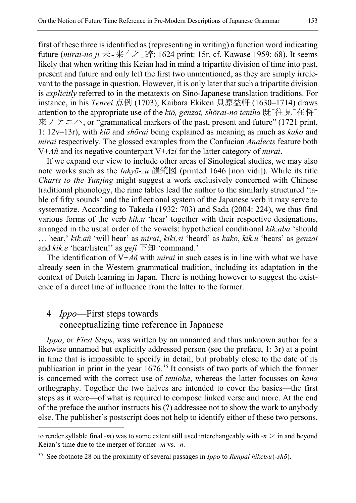first of these three is identified as (representing in writing) a function word indicating future (*mirai-no ji* 未 - 来 / 之 \_辞; 1624 print: 15r, cf. Kawase 1959: 68). It seems likely that when writing this Keian had in mind a tripartite division of time into past, present and future and only left the first two unmentioned, as they are simply irrelevant to the passage in question. However, it is only later that such a tripartite division is *explicitly* referred to in the metatexts on Sino-Japanese translation traditions. For instance, in his *Tenrei* 点例 (1703), Kaibara Ekiken 貝原益軒 (1630–1714) draws attention to the appropriate use of the *kiō, genzai, shōrai-no teniha* 既ˉ往見ˉ在将ˉ  $\overline{\mathcal{R}}$  / テニハ, or "grammatical markers of the past, present and future" (1721 print, 1: 12v–13r), with *kiō* and *shōrai* being explained as meaning as much as *kako* and *mirai* respectively. The glossed examples from the Confucian *Analects* feature both V+*Añ* and its negative counterpart V+*Azi* for the latter category of *mirai*.

If we expand our view to include other areas of Sinological studies, we may also note works such as the *Inkyō-zu* 韻鏡図 (printed 1646 [non vidi]). While its title *Charts to the Yunjing* might suggest a work exclusively concerned with Chinese traditional phonology, the rime tables lead the author to the similarly structured 'table of fifty sounds' and the inflectional system of the Japanese verb it may serve to systematize. According to Takeda (1932: 703) and Sada (2004: 224), we thus find various forms of the verb *kik.u* 'hear' together with their respective designations, arranged in the usual order of the vowels: hypothetical conditional *kik.aba* 'should … hear,' *kik.añ* 'will hear' as *mirai*, *kiki.si* 'heard' as *kako*, *kik.u* 'hears' as *genzai* and *kik.e* 'hear/listen!' as *geji* 下知 'command.'

The identification of V+*Añ* with *mirai* in such cases is in line with what we have already seen in the Western grammatical tradition, including its adaptation in the context of Dutch learning in Japan. There is nothing however to suggest the existence of a direct line of influence from the latter to the former.

# 4 *Ippo*—First steps towards

 $\overline{a}$ 

## conceptualizing time reference in Japanese

*Ippo*, or *First Steps*, was written by an unnamed and thus unknown author for a likewise unnamed but explicitly addressed person (see the preface, 1: 3r) at a point in time that is impossible to specify in detail, but probably close to the date of its publication in print in the year  $1676<sup>35</sup>$  $1676<sup>35</sup>$  $1676<sup>35</sup>$  It consists of two parts of which the former is concerned with the correct use of *tenioha*, whereas the latter focusses on *kana* orthography. Together the two halves are intended to cover the basics—the first steps as it were—of what is required to compose linked verse and more. At the end of the preface the author instructs his (?) addressee not to show the work to anybody else. The publisher's postscript does not help to identify either of these two persons,

to render syllable final *-m*) was to some extent still used interchangeably with *-n*  $\vee$  in and beyond Keian's time due to the merger of former *-m* vs. *-n*.

<span id="page-22-0"></span><sup>35</sup> See footnote [28](#page-20-3) on the proximity of several passages in *Ippo* to *Renpai hiketsu*(*-shō*).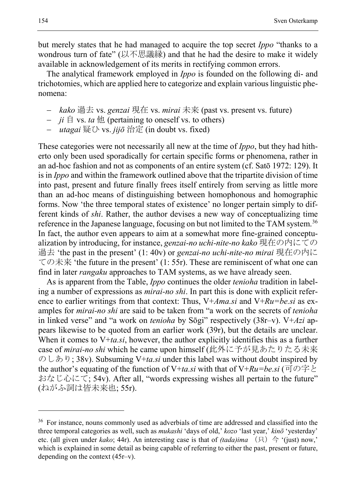but merely states that he had managed to acquire the top secret *Ippo* "thanks to a wondrous turn of fate" (以不思議縁) and that he had the desire to make it widely available in acknowledgement of its merits in rectifying common errors.

The analytical framework employed in *Ippo* is founded on the following di- and trichotomies, which are applied here to categorize and explain various linguistic phenomena:

- − *kako* 過去 vs. *genzai* 現在 vs. *mirai* 未来 (past vs. present vs. future)
- − *ji* 自 vs. *ta* 他 (pertaining to oneself vs. to others)
- − *utagai* 疑ひ vs. *jijō* 治定 (in doubt vs. fixed)

These categories were not necessarily all new at the time of *Ippo*, but they had hitherto only been used sporadically for certain specific forms or phenomena, rather in an ad-hoc fashion and not as components of an entire system (cf. Satō 1972: 129). It is in *Ippo* and within the framework outlined above that the tripartite division of time into past, present and future finally frees itself entirely from serving as little more than an ad-hoc means of distinguishing between homophonous and homographic forms. Now 'the three temporal states of existence' no longer pertain simply to different kinds of *shi*. Rather, the author devises a new way of conceptualizing time reference in the Japanese language, focusing on but not limited to the TAM system.[36](#page-23-0) In fact, the author even appears to aim at a somewhat more fine-grained conceptualization by introducing, for instance, *genzai-no uchi-nite-no kako* 現在の内にての 過去 'the past in the present' (1: 40v) or *genzai-no uchi-nite-no mirai* 現在の内に ての未来 'the future in the present' (1: 55r). These are reminiscent of what one can find in later *rangaku* approaches to TAM systems, as we have already seen.

As is apparent from the Table, *Ippo* continues the older *tenioha* tradition in labeling a number of expressions as *mirai-no shi*. In part this is done with explicit reference to earlier writings from that context: Thus, V+*Ama.si* and V+*Ru=be.si* as examples for *mirai-no shi* are said to be taken from "a work on the secrets of *tenioha* in linked verse" and "a work on *tenioha* by Sōgi" respectively (38r–v). V+*Azi* appears likewise to be quoted from an earlier work (39r), but the details are unclear. When it comes to V+*ta.si*, however, the author explicitly identifies this as a further case of *mirai-no shi* which he came upon himself (此外に予が見あたりたる未来 のしあり; 38v). Subsuming V+*ta.si* under this label was without doubt inspired by the author's equating of the function of V+*ta.si* with that of V+*Ru=be.si* (可の字と おなじ心にて; 54v). After all, "words expressing wishes all pertain to the future" (ねがふ詞は皆未来也; 55r).

<span id="page-23-0"></span><sup>&</sup>lt;sup>36</sup> For instance, nouns commonly used as adverbials of time are addressed and classified into the three temporal categories as well, such as *mukashi* 'days of old,' *kozo* 'last year,' *kinō* 'yesterday' etc. (all given under *kako*; 44r). An interesting case is that of *(tada)ima*  $(A) \trianglelefteq$  '(just) now,' which is explained in some detail as being capable of referring to either the past, present or future, depending on the context (45r–v).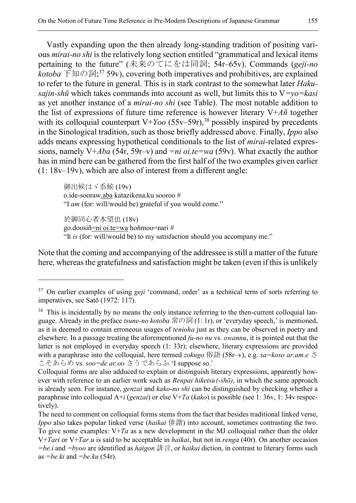Vastly expanding upon the then already long-standing tradition of positing various *mirai-no shi* is the relatively long section entitled "grammatical and lexical items pertaining to the future" (未来のてにをは同詞; 54r–65v). Commands (*geji-no kotoba* 下知の詞; [37](#page-24-0) 59v), covering both imperatives and prohibitives, are explained to refer to the future in general. This is in stark contrast to the somewhat later *Hakusajin-shū* which takes commands into account as well, but limits this to V*=yo=kasi* as yet another instance of a *mirai-no shi* (see Table). The most notable addition to the list of expressions of future time reference is however literary V+*Añ* together with its colloquial counterpart  $V+Yoo$  (55v–59r),<sup>38</sup> possibly inspired by precedents in the Sinological tradition, such as those briefly addressed above. Finally, *Ippo* also adds means expressing hypothetical conditionals to the list of *mirai*-related expressions, namely V+*Aba* (54r, 59r–v) and *=ni oi.te=wa* (59v). What exactly the author has in mind here can be gathered from the first half of the two examples given earlier (1: 18v–19v), which are also of interest from a different angle:

御出候はゞ忝候 (19v) o.ide-sooraw.aba katazikena.ku sooroo # "I *am* (for: will/would be) grateful if you would come."

 $\overline{a}$ 

於御同心者本望也 (18v) go.doosiñ=ni oi.te=wa hoñmoo=nari # "It *is* (for: will/would be) to my satisfaction should you accompany me."

Note that the coming and accompanying of the addressee is still a matter of the future here, whereas the gratefulness and satisfaction might be taken (even if this is unlikely

<span id="page-24-0"></span><sup>&</sup>lt;sup>37</sup> On earlier examples of using *geji* 'command, order' as a technical term of sorts referring to imperatives, see Satō (1972: 117).

<span id="page-24-1"></span><sup>&</sup>lt;sup>38</sup> This is incidentally by no means the only instance referring to the then-current colloquial language. Already in the preface *tsune-no kotoba* 常の詞 (1: 1r), or 'everyday speech,' is mentioned, as it is deemed to contain erroneous usages of *tenioha* just as they can be observed in poetry and elsewhere. In a passage treating the aforementioned *fu-no nu* vs. *owannu*, it is pointed out that the latter is not employed in everyday speech (1: 33r); elsewhere, literary expressions are provided with a paraphrase into the colloquial, here termed *zokugo* 俗語 (58r–v), e.g. *sa=koso ar.am.e* さ こそあらめ vs. *soo=de ar.oo* さうであらふ 'I suppose so.'

Colloquial forms are also adduced to explain or distinguish literary expressions, apparently however with reference to an earlier work such as *Renpai hiketsu (-shō)*, in which the same approach is already seen. For instance, *genzai* and *kako-no shi* can be distinguished by checking whether a paraphrase into colloquial A+*i* (*genzai*) or else V+*Ta* (*kako*) is possible (see 1: 36v, 1: 34v respectively).

The need to comment on colloquial forms stems from the fact that besides traditional linked verse, *Ippo* also takes popular linked verse (*haikai* 俳諧) into account, sometimes contrasting the two. To give some examples:  $V+Ta$  as a new development in the MJ colloquial rather than the older V+*Tari* or V+*Tar.u* is said to be acceptable in *haikai*, but not in *renga* (40r). On another occasion *=be.i* and *=byoo* are identified as *haigon* 誹言, or *haikai* diction, in contrast to literary forms such as *=be.ki* and *=be.ku* (54r).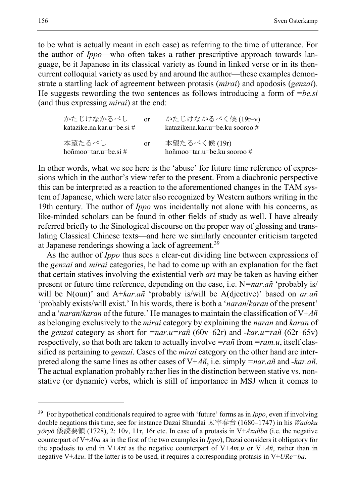to be what is actually meant in each case) as referring to the time of utterance. For the author of *Ippo*—who often takes a rather prescriptive approach towards language, be it Japanese in its classical variety as found in linked verse or in its thencurrent colloquial variety as used by and around the author—these examples demonstrate a startling lack of agreement between protasis (*mirai*) and apodosis (*genzai*). He suggests rewording the two sentences as follows introducing a form of *=be.si* (and thus expressing *mirai*) at the end:

| かたじけなかるべし<br>katazike.na.kar.u=be.si $#$ | $\alpha$ r    | かたじけなかるべく候(19r-v)<br>katazikena.kar.u=be.ku sooroo # |
|------------------------------------------|---------------|------------------------------------------------------|
| 本望たるべし<br>hoñmoo=tar.u=be.si #           | <sub>or</sub> | 本望たるべく候(19r)<br>hoñmoo=tar.u=be.ku sooroo#           |

In other words, what we see here is the 'abuse' for future time reference of expressions which in the author's view refer to the present. From a diachronic perspective this can be interpreted as a reaction to the aforementioned changes in the TAM system of Japanese, which were later also recognized by Western authors writing in the 19th century. The author of *Ippo* was incidentally not alone with his concerns, as like-minded scholars can be found in other fields of study as well. I have already referred briefly to the Sinological discourse on the proper way of glossing and translating Classical Chinese texts—and here we similarly encounter criticism targeted at Japanese renderings showing a lack of agreement.[39](#page-25-0)

As the author of *Ippo* thus sees a clear-cut dividing line between expressions of the *genzai* and *mirai* categories, he had to come up with an explanation for the fact that certain statives involving the existential verb *ari* may be taken as having either present or future time reference, depending on the case, i.e. N*=nar.añ* 'probably is/ will be N(oun)' and A+*kar.añ* 'probably is/will be A(djective)' based on *ar.añ* 'probably exists/will exist.' In his words, there is both a '*naran*/*karan* of the present' and a '*naran*/*karan* of the future.' He manages to maintain the classification of V+*Añ* as belonging exclusively to the *mirai* category by explaining the *naran* and *karan* of the *genzai* category as short for *=nar.u=rañ* (60v–62r) and *-kar.u=rañ* (62r–65v) respectively, so that both are taken to actually involve *=rañ* from *=ram.u*, itself classified as pertaining to *genzai*. Cases of the *mirai* category on the other hand are interpreted along the same lines as other cases of V+*Añ*, i.e. simply *=nar.añ* and *-kar.añ*. The actual explanation probably rather lies in the distinction between stative vs. nonstative (or dynamic) verbs, which is still of importance in MSJ when it comes to

<span id="page-25-0"></span><sup>39</sup> For hypothetical conditionals required to agree with 'future' forms as in *Ippo*, even if involving double negations this time, see for instance Dazai Shundai 太宰春台 (1680–1747) in his *Wadoku yōryō* 倭読要領 (1728), 2: 10v, 11r, 16r etc. In case of a protasis in V+*Azuñba* (i.e. the negative counterpart of V+*Aba* as in the first of the two examples in *Ippo*), Dazai considers it obligatory for the apodosis to end in V+*Azi* as the negative counterpart of V+*Am.u* or V+*Añ*, rather than in negative V+*Azu*. If the latter is to be used, it requires a corresponding protasis in V+*URe=ba*.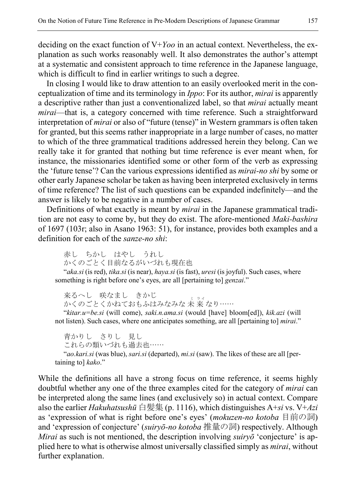deciding on the exact function of V+*Yoo* in an actual context. Nevertheless, the explanation as such works reasonably well. It also demonstrates the author's attempt at a systematic and consistent approach to time reference in the Japanese language, which is difficult to find in earlier writings to such a degree.

In closing I would like to draw attention to an easily overlooked merit in the conceptualization of time and its terminology in *Ippo*: For its author, *mirai* is apparently a descriptive rather than just a conventionalized label, so that *mirai* actually meant *mirai*—that is, a category concerned with time reference. Such a straightforward interpretation of *mirai* or also of "future (tense)" in Western grammars is often taken for granted, but this seems rather inappropriate in a large number of cases, no matter to which of the three grammatical traditions addressed herein they belong. Can we really take it for granted that nothing but time reference is ever meant when, for instance, the missionaries identified some or other form of the verb as expressing the 'future tense'? Can the various expressions identified as *mirai-no shi* by some or other early Japanese scholar be taken as having been interpreted exclusively in terms of time reference? The list of such questions can be expanded indefinitely—and the answer is likely to be negative in a number of cases.

Definitions of what exactly is meant by *mirai* in the Japanese grammatical tradition are not easy to come by, but they do exist. The afore-mentioned *Maki-bashira* of 1697 (103r; also in Asano 1963: 51), for instance, provides both examples and a definition for each of the *sanze-no shi*:

赤し ちかし はやし うれし かくのごとく目前なるがいづれも現在也

"*aka.si* (is red), *tika.si* (is near), *haya.si* (is fast), *uresi* (is joyful). Such cases, where something is right before one's eyes, are all [pertaining to] *genzai*."

来るへし 咲なまし きかじ へ。 。<br>かくのごとくかねておもふはみなみな 未 来 なり……

"*kitar.u=be.si* (will come), *saki.n.ama.si* (would [have] bloom[ed]), *kik.azi* (will not listen). Such cases, where one anticipates something, are all [pertaining to] *mirai*."

青かりし さりし 見し これらの類いづれも過去也…… "*ao.kari.si* (was blue), *sari.si* (departed), *mi.si* (saw). The likes of these are all [pertaining to] *kako*."

While the definitions all have a strong focus on time reference, it seems highly doubtful whether any one of the three examples cited for the category of *mirai* can be interpreted along the same lines (and exclusively so) in actual context. Compare also the earlier *Hakuhatsushū* 白髪集 (p. 1116), which distinguishes A+*si* vs. V+*Azi* as 'expression of what is right before one's eyes' (*mokuzen-no kotoba* 目前の詞) and 'expression of conjecture' (*suiryō-no kotoba* 推量の詞) respectively. Although *Mirai* as such is not mentioned, the description involving *suiryō* 'conjecture' is applied here to what is otherwise almost universally classified simply as *mirai*, without further explanation.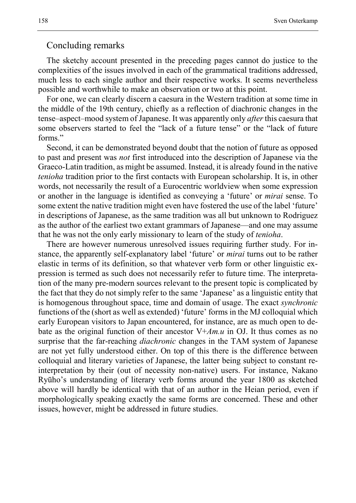#### Concluding remarks

The sketchy account presented in the preceding pages cannot do justice to the complexities of the issues involved in each of the grammatical traditions addressed, much less to each single author and their respective works. It seems nevertheless possible and worthwhile to make an observation or two at this point.

For one, we can clearly discern a caesura in the Western tradition at some time in the middle of the 19th century, chiefly as a reflection of diachronic changes in the tense–aspect–mood system of Japanese. It was apparently only *after*this caesura that some observers started to feel the "lack of a future tense" or the "lack of future forms."

Second, it can be demonstrated beyond doubt that the notion of future as opposed to past and present was *not* first introduced into the description of Japanese via the Graeco-Latin tradition, as might be assumed. Instead, it is already found in the native *tenioha* tradition prior to the first contacts with European scholarship. It is, in other words, not necessarily the result of a Eurocentric worldview when some expression or another in the language is identified as conveying a 'future' or *mirai* sense. To some extent the native tradition might even have fostered the use of the label 'future' in descriptions of Japanese, as the same tradition was all but unknown to Rodriguez as the author of the earliest two extant grammars of Japanese—and one may assume that he was not the only early missionary to learn of the study of *tenioha*.

There are however numerous unresolved issues requiring further study. For instance, the apparently self-explanatory label 'future' or *mirai* turns out to be rather elastic in terms of its definition, so that whatever verb form or other linguistic expression is termed as such does not necessarily refer to future time. The interpretation of the many pre-modern sources relevant to the present topic is complicated by the fact that they do not simply refer to the same 'Japanese' as a linguistic entity that is homogenous throughout space, time and domain of usage. The exact *synchronic* functions of the (short as well as extended) 'future' forms in the MJ colloquial which early European visitors to Japan encountered, for instance, are as much open to debate as the original function of their ancestor V+*Am.u* in OJ. It thus comes as no surprise that the far-reaching *diachronic* changes in the TAM system of Japanese are not yet fully understood either. On top of this there is the difference between colloquial and literary varieties of Japanese, the latter being subject to constant reinterpretation by their (out of necessity non-native) users. For instance, Nakano Ryūho's understanding of literary verb forms around the year 1800 as sketched above will hardly be identical with that of an author in the Heian period, even if morphologically speaking exactly the same forms are concerned. These and other issues, however, might be addressed in future studies.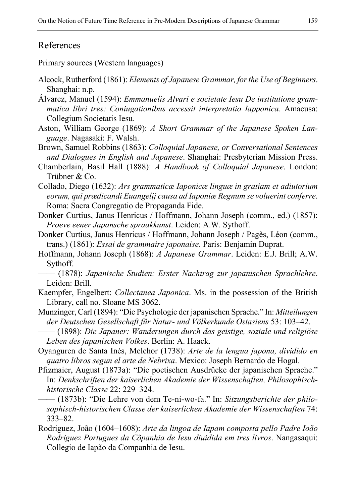## References

Primary sources (Western languages)

- Alcock, Rutherford (1861): *Elements of Japanese Grammar, for the Use of Beginners*. Shanghai: n.p.
- Álvarez, Manuel (1594): *Emmanuelis Alvari e societate Iesu De institutione grammatica libri tres: Coniugationibus accessit interpretatio Iapponica*. Amacusa: Collegium Societatis Iesu.
- Aston, William George (1869): *A Short Grammar of the Japanese Spoken Language*. Nagasaki: F. Walsh.
- Brown, Samuel Robbins (1863): *Colloquial Japanese, or Conversational Sentences and Dialogues in English and Japanese*. Shanghai: Presbyterian Mission Press.
- Chamberlain, Basil Hall (1888): *A Handbook of Colloquial Japanese*. London: Trübner & Co.
- Collado, Diego (1632): *Ars grammaticæ Iaponicæ linguæ in gratiam et adiutorium eorum, qui prædicandi Euangelij causa ad Iaponiæ Regnum se voluerint conferre*. Roma: Sacra Congregatio de Propaganda Fide.
- Donker Curtius, Janus Henricus / Hoffmann, Johann Joseph (comm., ed.) (1857): *Proeve eener Japansche spraakkunst*. Leiden: A.W. Sythoff.
- Donker Curtius, Janus Henricus / Hoffmann, Johann Joseph / Pagès, Léon (comm., trans.) (1861): *Essai de grammaire japonaise*. Paris: Benjamin Duprat.
- Hoffmann, Johann Joseph (1868): *A Japanese Grammar*. Leiden: E.J. Brill; A.W. Sythoff.
- —— (1878): *Japanische Studien: Erster Nachtrag zur japanischen Sprachlehre*. Leiden: Brill.
- Kaempfer, Engelbert: *Collectanea Japonica*. Ms. in the possession of the British Library, call no. Sloane MS 3062.
- Munzinger, Carl (1894): "Die Psychologie der japanischen Sprache." In: *Mitteilungen der Deutschen Gesellschaft für Natur- und Völkerkunde Ostasiens* 53: 103–42.
- —— (1898): *Die Japaner: Wanderungen durch das geistige, soziale und religiöse Leben des japanischen Volkes*. Berlin: A. Haack.
- Oyanguren de Santa Inés, Melchor (1738): *Arte de la lengua japona, dividido en quatro libros segun el arte de Nebrixa*. Mexico: Joseph Bernardo de Hogal.
- Pfizmaier, August (1873a): "Die poetischen Ausdrücke der japanischen Sprache." In: *Denkschriften der kaiserlichen Akademie der Wissenschaften, Philosophischhistorische Classe* 22: 229–324.
- —— (1873b): "Die Lehre von dem Te-ni-wo-fa." In: *Sitzungsberichte der philosophisch-historischen Classe der kaiserlichen Akademie der Wissenschaften* 74: 333–82.
- Rodriguez, João (1604–1608): *Arte da lingoa de Iapam composta pello Padre Ioão Rodriguez Portugues da Cõpanhia de Iesu diuidida em tres livros*. Nangasaqui: Collegio de Iapão da Companhia de Iesu.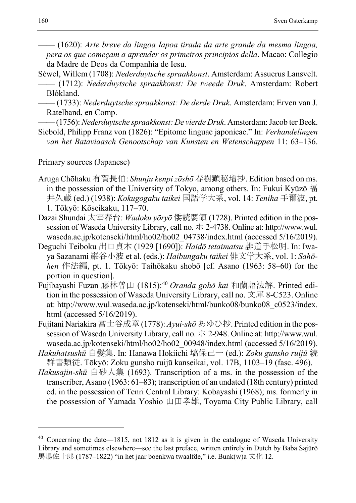- —— (1620): *Arte breve da lingoa Iapoa tirada da arte grande da mesma lingoa, pera os que começam a aprender os primeiros principios della*. Macao: Collegio da Madre de Deos da Companhia de Iesu.
- Séwel, Willem (1708): *Nederduytsche spraakkonst*. Amsterdam: Assuerus Lansvelt. —— (1712): *Nederduytsche spraakkonst: De tweede Druk*. Amsterdam: Robert
	- Blókland. —— (1733): *Nederduytsche spraakkonst: De derde Druk*. Amsterdam: Erven van J. Ratelband, en Comp.
- ——(1756): *Nederduytsche spraakkonst: De vierde Druk*. Amsterdam: Jacob ter Beek.
- Siebold, Philipp Franz von (1826): "Epitome linguae japonicae." In: *Verhandelingen van het Bataviaasch Genootschap van Kunsten en Wetenschappen* 11: 63–136.

Primary sources (Japanese)

- Aruga Chōhaku 有賀長伯: *Shunju kenpi zōshō* 春樹顕秘増抄. Edition based on ms. in the possession of the University of Tokyo, among others. In: Fukui Kyūzō 福 井久蔵 (ed.) (1938): *Kokugogaku taikei* 国語学大系, vol. 14: *Teniha* 手爾波, pt. 1. Tōkyō: Kōseikaku, 117–70.
- Dazai Shundai 太宰春台: *Wadoku yōryō* 倭読要領 (1728). Printed edition in the possession of Waseda University Library, call no. ホ 2-4738. Online at: http://www.wul. waseda.ac.jp/kotenseki/html/ho02/ho02\_04738/index.html (accessed 5/16/2019).
- Deguchi Teiboku 出口貞木 (1929 [1690]): *Haidō tetaimatsu* 誹道手松明. In: Iwaya Sazanami 巌谷小波 et al. (eds.): *Haibungaku taikei* 俳文学大系, vol. 1: *Sahōhen* 作法編, pt. 1. Tōkyō: Taihōkaku shobō [cf. Asano (1963: 58–60) for the portion in question].
- Fujibayashi Fuzan 藤林普山 (1815):[40](#page-29-0) *Oranda gohō kai* 和蘭語法解. Printed edition in the possession of Waseda University Library, call no. 文庫 8-C523. Online at: http://www.wul.waseda.ac.jp/kotenseki/html/bunko08/bunko08\_c0523/index. html (accessed 5/16/2019).
- Fujitani Nariakira 富士谷成章 (1778): *Ayui-shō* あゆひ抄. Printed edition in the possession of Waseda University Library, call no. ホ 2-948. Online at: http://www.wul. waseda.ac.jp/kotenseki/html/ho02/ho02\_00948/index.html (accessed 5/16/2019).
- *Hakuhatsushū* 白髪集. In: Hanawa Hokiichi 塙保己一 (ed.): *Zoku gunsho ruijū* 続 群書類従. Tōkyō: Zoku gunsho ruijū kanseikai, vol. 17B, 1103–19 (fasc. 496).
- *Hakusajin-shū* 白砂人集 (1693). Transcription of a ms. in the possession of the transcriber, Asano (1963: 61–83); transcription of an undated (18th century) printed ed. in the possession of Tenri Central Library: Kobayashi (1968); ms. formerly in the possession of Yamada Yoshio 山田孝雄, Toyama City Public Library, call

<span id="page-29-0"></span> $40$  Concerning the date—1815, not 1812 as it is given in the catalogue of Waseda University Library and sometimes elsewhere—see the last preface, written entirely in Dutch by Baba Sajūrō 馬場佐十郎 (1787–1822) "in het jaar boenkwa twaalfde," i.e. Bunk(w)a 文化 12.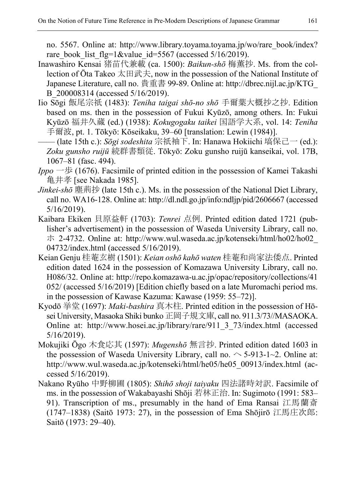no. 5567. Online at: http://www.library.toyama.toyama.jp/wo/rare\_book/index? rare book list flg=1&value id=5567 (accessed 5/16/2019).

- Inawashiro Kensai 猪苗代兼載 (ca. 1500): *Baikun-shō* 梅薫抄. Ms. from the collection of Ōta Takeo 太田武夫, now in the possession of the National Institute of Japanese Literature, call no. 貴重書 99-89. Online at: http://dbrec.nijl.ac.jp/KTG\_ B\_200008314 (accessed 5/16/2019).
- Iio Sōgi 飯尾宗祇 (1483): *Teniha taigai shō-no shō* 手爾葉大概抄之抄. Edition based on ms. then in the possession of Fukui Kyūzō, among others. In: Fukui Kyūzō 福井久蔵 (ed.) (1938): *Kokugogaku taikei* 国語学大系, vol. 14: *Teniha* 手爾波, pt. 1. Tōkyō: Kōseikaku, 39–60 [translation: Lewin (1984)].
- —— (late 15th c.): *Sōgi sodeshita* 宗祇袖下. In: Hanawa Hokiichi 塙保己一 (ed.): *Zoku gunsho ruijū* 続群書類従. Tōkyō: Zoku gunsho ruijū kanseikai, vol. 17B, 1067–81 (fasc. 494).
- *Ippo* 一歩 (1676). Facsimile of printed edition in the possession of Kamei Takashi 亀井孝 [see Nakada 1985].
- *Jinkei-shō* 塵荊抄 (late 15th c.). Ms. in the possession of the National Diet Library, call no. WA16-128. Online at: http://dl.ndl.go.jp/info:ndljp/pid/2606667 (accessed 5/16/2019).
- Kaibara Ekiken 貝原益軒 (1703): *Tenrei* 点例. Printed edition dated 1721 (publisher's advertisement) in the possession of Waseda University Library, call no. ホ 2-4732. Online at: http://www.wul.waseda.ac.jp/kotenseki/html/ho02/ho02\_ 04732/index.html (accessed 5/16/2019).
- Keian Genju 桂菴玄樹 (1501): *Keian oshō kahō waten* 桂菴和尚家法倭点. Printed edition dated 1624 in the possession of Komazawa University Library, call no. H086/32. Online at: http://repo.komazawa-u.ac.jp/opac/repository/collections/41 052/ (accessed 5/16/2019) [Edition chiefly based on a late Muromachi period ms. in the possession of Kawase Kazuma: Kawase (1959: 55–72)].
- Kyodō 挙堂 (1697): *Maki-bashira* 真木柱. Printed edition in the possession of Hōsei University, Masaoka Shiki bunko 正岡子規文庫, call no. 911.3/73//MASAOKA. Online at: http://www.hosei.ac.jp/library/rare/911\_3\_73/index.html (accessed 5/16/2019).
- Mokujiki Ōgo 木食応其 (1597): *Mugenshō* 無言抄. Printed edition dated 1603 in the possession of Waseda University Library, call no.  $\sim$  5-913-1~2. Online at: http://www.wul.waseda.ac.jp/kotenseki/html/he05/he05\_00913/index.html (accessed 5/16/2019).
- Nakano Ryūho 中野柳圃 (1805): *Shihō shoji taiyaku* 四法諸時対訳. Facsimile of ms. in the possession of Wakabayashi Shōji 若林正治. In: Sugimoto (1991: 583– 91). Transcription of ms., presumably in the hand of Ema Ransai 江馬蘭斎 (1747–1838) (Saitō 1973: 27), in the possession of Ema Shōjirō 江馬庄次郎: Saitō (1973: 29–40).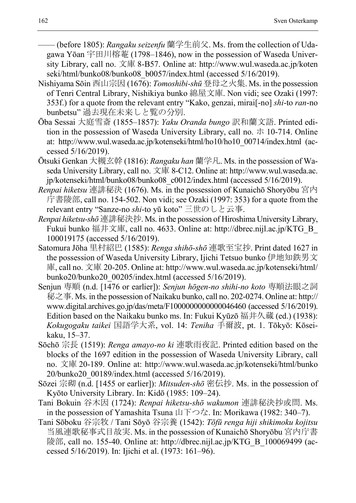—— (before 1805): *Rangaku seizenfu* 蘭学生前父. Ms. from the collection of Udagawa Yōan 宇田川榕菴 (1798–1846), now in the possession of Waseda University Library, call no. 文庫 8-B57. Online at: http://www.wul.waseda.ac.jp/koten seki/html/bunko08/bunko08\_b0057/index.html (accessed 5/16/2019).

- Nishiyama Sōin 西山宗因 (1676): *Tomoshibi-shū* 登母之火集. Ms. in the possession of Tenri Central Library, Nishikiya bunko 綿屋文庫. Non vidi; see Ozaki (1997: 353f.) for a quote from the relevant entry "Kako, genzai, mirai[-no] *shi*-to *ran*-no bunbetsu" 過去現在未来しと覧の分別.
- Ōba Sessai 大庭雪斎 (1855–1857): *Yaku Oranda bungo* 訳和蘭文語. Printed edition in the possession of Waseda University Library, call no.  $\pi$  10-714. Online at: http://www.wul.waseda.ac.jp/kotenseki/html/ho10/ho10\_00714/index.html (accessed 5/16/2019).
- Ōtsuki Genkan 大槻玄幹 (1816): *Rangaku han* 蘭学凡. Ms. in the possession of Waseda University Library, call no. 文庫 8-C12. Online at: http://www.wul.waseda.ac. jp/kotenseki/html/bunko08/bunko08\_c0012/index.html (accessed 5/16/2019).
- *Renpai hiketsu* 連誹秘決 (1676). Ms. in the possession of Kunaichō Shoryōbu 宮内 庁書陵部, call no. 154-502. Non vidi; see Ozaki (1997: 353) for a quote from the relevant entry "Sanze-no *shi*-to yū koto" 三世のしと云事.
- *Renpai hiketsu-shō* 連誹秘決抄. Ms. in the possession of Hiroshima University Library, Fukui bunko 福井文庫, call no. 4633. Online at: http://dbrec.nijl.ac.jp/KTG\_B\_ 100019175 (accessed 5/16/2019).
- Satomura Jōha 里村紹巴 (1585): *Renga shihō-shō* 連歌至宝抄. Print dated 1627 in the possession of Waseda University Library, Ijichi Tetsuo bunko 伊地知鉄男文 庫, call no. 文庫 20-205. Online at: http://www.wul.waseda.ac.jp/kotenseki/html/ bunko20/bunko20\_00205/index.html (accessed 5/16/2019).
- Senjun 専順 (n.d. [1476 or earlier]): *Senjun hōgen-no shihi-no koto* 専順法眼之詞 秘之事. Ms. in the possession of Naikaku bunko, call no. 202-0274. Online at: http:// www.digital.archives.go.jp/das/meta/F1000000000000046460 (accessed 5/16/2019). Edition based on the Naikaku bunko ms. In: Fukui Kyūzō 福井久蔵 (ed.) (1938): *Kokugogaku taikei* 国語学大系, vol. 14: *Teniha* 手爾波, pt. 1. Tōkyō: Kōseikaku, 15–37.
- Sōchō 宗長 (1519): *Renga amayo-no ki* 連歌雨夜記. Printed edition based on the blocks of the 1697 edition in the possession of Waseda University Library, call no. 文庫 20-189. Online at: http://www.wul.waseda.ac.jp/kotenseki/html/bunko 20/bunko20\_00189/index.html (accessed 5/16/2019).
- Sōzei 宗砌 (n.d. [1455 or earlier]): *Mitsuden-shō* 密伝抄. Ms. in the possession of Kyōto University Library. In: Kidō (1985: 109–24).
- Tani Bokuin 谷木因 (1724): *Renpai hiketsu-shō wakumon* 連誹秘決抄或問. Ms. in the possession of Yamashita Tsuna  $\Box \top \bigcirc \overrightarrow{z}$ . In: Morikawa (1982: 340–7).
- Tani Sōboku 谷宗牧 / Tani Sōyō 谷宗養 (1542): *Tōfū renga hiji shikimoku kojitsu* 当風連歌秘事式目故実. Ms. in the possession of Kunaichō Shoryōbu 宮内庁書 陵部, call no. 155-40. Online at: http://dbrec.nijl.ac.jp/KTG\_B\_100069499 (accessed 5/16/2019). In: Ijichi et al. (1973: 161–96).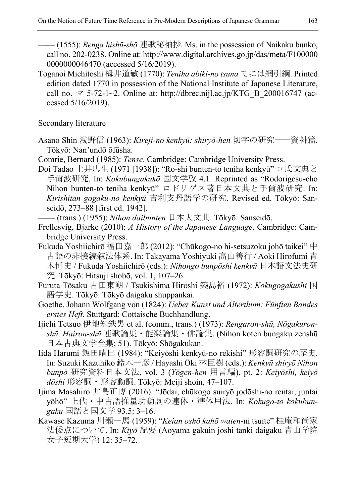—— (1555): *Renga hishū-shō* 連歌秘袖抄. Ms. in the possession of Naikaku bunko, call no. 202-0238. Online at: http://www.digital.archives.go.jp/das/meta/F100000 0000000046470 (accessed 5/16/2019).

Toganoi Michitoshi 栂井道敏 (1770): *Teniha abiki-no tsuna* てには網引綱. Printed edition dated 1770 in possession of the National Institute of Japanese Literature, call no.  $\approx$  5-72-1~2. Online at: http://dbrec.nijl.ac.jp/KTG\_B\_200016747 (accessed 5/16/2019).

Secondary literature

- Asano Shin 浅野信 (1963): *Kireji-no kenkyū: shiryō-hen* 切字の研究——資料篇. Tōkyō: Nan'undō ōfūsha.
- Comrie, Bernard (1985): *Tense*. Cambridge: Cambridge University Press.
- Doi Tadao 土井忠生 (1971 [1938]): "Ro-shi bunten-to teniha kenkyū" ロ氏文典と 手爾波研究. In: *Kokubungakukō* 国文学攷 4.1. Reprinted as "Rodorigesu-cho Nihon bunten-to teniha kenkyū" ロドリゲス著日本文典と手爾波研究. In: *Kirishitan gogaku-no kenkyū* 吉利支丹語学の研究. Revised ed. Tōkyō: Sanseidō, 273–88 [first ed. 1942].

—— (trans.) (1955): *Nihon daibunten* 日本大文典. Tōkyō: Sanseidō.

- Frellesvig, Bjarke (2010): *A History of the Japanese Language*. Cambridge: Cambridge University Press.
- Fukuda Yoshiichirō 福田嘉一郎 (2012): "Chūkogo-no hi-setsuzoku johō taikei" 中 古語の非接続叙法体系. In: Takayama Yoshiyuki 高山善行 / Aoki Hirofumi 青 木博史 / Fukuda Yoshiichirō (eds.): *Nihongo bunpōshi kenkyū* 日本語文法史研 究. Tōkyō: Hitsuji shobō, vol. 1, 107–26.
- Furuta Tōsaku 古田東朔 / Tsukishima Hiroshi 築島裕 (1972): *Kokugogakushi* 国 語学史. Tōkyō: Tōkyō daigaku shuppankai.
- Goethe, Johann Wolfgang von (1824): *Ueber Kunst und Alterthum: Fünften Bandes erstes Heft.* Stuttgard: Cottaische Buchhandlung.
- Ijichi Tetsuo 伊地知鉄男 et al. (comm., trans.) (1973): *Rengaron-shū, Nōgakuronshū, Hairon-shū* 連歌論集・能楽論集・俳論集. (Nihon koten bungaku zenshū 日本古典文学全集; 51). Tōkyō: Shōgakukan.
- Iida Harumi 飯田晴巳 (1984): "Keiyōshi kenkyū-no rekishi" 形容詞研究の歴史. In: Suzuki Kazuhiko 鈴木一彦 / Hayashi Ōki 林巨樹 (eds.): *Kenkyū shiryō Nihon bunpō* 研究資料日本文法, vol. 3 (*Yōgen-hen* 用言編), pt. 2: *Keiyōshi, keiyō dōshi* 形容詞・形容動詞. Tōkyō: Meiji shoin, 47–107.
- Ijima Masahiro 井島正博 (2016): "Jōdai, chūkogo suiryō jodōshi-no rentai, juntai yōhō" 上代・中古語推量助動詞の連体・準体用法. In: *Kokugo-to kokubungaku* 国語と国文学 93.5: 3–16.
- Kawase Kazuma 川瀬一馬 (1959): "*Keian oshō kahō waten*-ni tsuite" 桂庵和尚家 法倭点について. In: *Kiyō* 紀要 (Aoyama gakuin joshi tanki daigaku 青山学院 女子短期大学) 12: 35–72.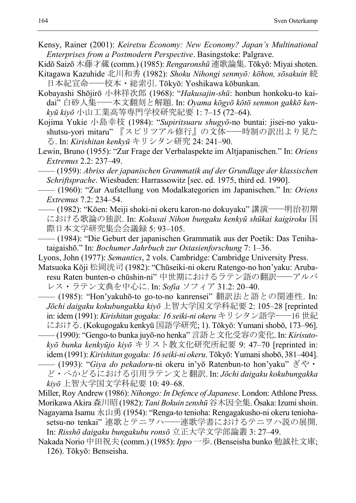Kensy, Rainer (2001): *Keiretsu Economy: New Economy? Japan's Multinational Enterprises from a Postmodern Perspective*. Basingstoke: Palgrave.

Kidō Saizō 木藤才蔵 (comm.) (1985): *Rengaronshū* 連歌論集. Tōkyō: Miyai shoten.

- Kitagawa Kazuhide 北川和秀 (1982): *Shoku Nihongi senmyō: kōhon, sōsakuin* 続 日本紀宣命——校本・総索引. Tōkyō: Yoshikawa kōbunkan.
- Kobayashi Shōjirō 小林祥次郎 (1968): "*Hakusajin-shū*: honbun honkoku-to kaidai" 白砂人集——本文翻刻と解題. In: *Oyama kōgyō kōtō senmon gakkō kenkyū kiyō* 小山工業高等専門学校研究紀要 1: 7–15 (72–64).
- Kojima Yukie 小島幸枝 (1984): "*Supiritsuaru shugyō*-no buntai: jisei-no yakushutsu-yori mitaru" 『スピリツアル修行』の文体——時制の訳出より見た る. In: *Kirishitan kenkyū* キリシタン研究 24: 241–90.
- Lewin, Bruno (1955): "Zur Frage der Verbalaspekte im Altjapanischen." In: *Oriens Extremus* 2.2: 237–49.
- —— (1959): *Abriss der japanischen Grammatik auf der Grundlage der klassischen Schriftsprache*. Wiesbaden: Harrassowitz [sec. ed. 1975, third ed. 1990].
- —— (1960): "Zur Aufstellung von Modalkategorien im Japanischen." In: *Oriens Extremus* 7.2: 234–54.
- —— (1982): "Kōen: Meiji shoki-ni okeru karon-no dokuyaku" 講演——明治初期 における歌論の独訳. In: *Kokusai Nihon bungaku kenkyū shūkai kaigiroku* 国 際日本文学研究集会会議録 5: 93–105.
- —— (1984): "Die Geburt der japanischen Grammatik aus der Poetik: Das Tenihataigaishō." In: *Bochumer Jahrbuch zur Ostasienforschung* 7: 1–36.
- Lyons, John (1977): *Semantics*, 2 vols. Cambridge: Cambridge University Press.
- Matsuoka Kōji 松岡洸司 (1982): "Chūseiki-ni okeru Ratengo-no hon'yaku: Arubaresu Raten bunten-o chūshin-ni" 中世期におけるラテン語の翻訳——アルバ レス・ラテン文典を中心に. In: *Sofia* ソフィア 31.2: 20–40.
- —— (1985): "Hon'yakuhō-to go-to-no kanrensei" 翻訳法と語との関連性. In: *Jōchi daigaku kokubungakka kiyō* 上智大学国文学科紀要 2: 105–28 [reprinted in: idem (1991): *Kirishitan gogaku: 16 seiki-ni okeru* キリシタン語学——16 世紀 における. (Kokugogaku kenkyū 国語学研究; 1). Tōkyō: Yumani shobō, 173–96].
	- —— (1990): "Gengo-to bunka juyō-no henka" 言語と文化受容の変化. In: *Kirisutokyō bunka kenkyūjo kiyō* キリスト教文化研究所紀要 9: 47–70 [reprinted in: idem(1991): *Kirishitan gogaku: 16 seiki-ni okeru*. Tōkyō: Yumani shobō, 381–404]. —— (1993): "*Giya do pekadoru*-ni okeru in'yō Ratenbun-to hon'yaku" ぎや・
	- ど・ぺかどるにおける引用ラテン文と翻訳. In: *Jōchi daigaku kokubungakka kiyō* 上智大学国文学科紀要 10: 49–68.
- Miller, Roy Andrew (1986): *Nihongo: In Defence of Japanese*. London: Athlone Press. Morikawa Akira 森川昭(1982): *Tani Bokuin zenshū*谷木因全集. Ōsaka: Izumi shoin.
- Nagayama Isamu 永山勇 (1954): "Renga-to tenioha: Rengagakusho-ni okeru teniohasetsu-no tenkai" 連歌とテニヲハ——連歌学書におけるテニヲハ説の展開. In: *Risshō daigaku bungakubu ronsō* 立正大学文学部論叢 3: 27–49.
- Nakada Norio 中田祝夫 (comm.) (1985): *Ippo* 一歩. (Benseisha bunko 勉誠社文庫; 126). Tōkyō: Benseisha.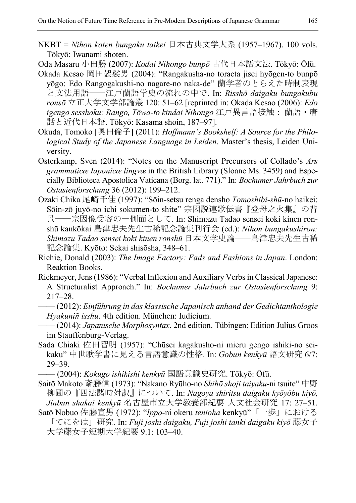NKBT = *Nihon koten bungaku taikei* 日本古典文学大系 (1957–1967). 100 vols. Tōkyō: Iwanami shoten.

Oda Masaru 小田勝 (2007): *Kodai Nihongo bunpō* 古代日本語文法. Tōkyō: Ōfū. Okada Kesao 岡田袈裟男 (2004): "Rangakusha-no toraeta jisei hyōgen-to bunpō

- yōgo: Edo Rangogakushi-no nagare-no naka-de" 蘭学者のとらえた時制表現 と文法用語——江戸蘭語学史の流れの中で. In: *Risshō daigaku bungakubu ronsō* 立正大学文学部論叢 120: 51–62 [reprinted in: Okada Kesao (2006): *Edo igengo sesshoku: Rango, Tōwa-to kindai Nihongo* 江戸異言語接触: 蘭語・唐 話と近代日本語. Tōkyō: Kasama shoin, 187–97].
- Okuda, Tomoko [奥田倫子] (2011): *Hoffmann's Bookshelf: A Source for the Philological Study of the Japanese Language in Leiden*. Master's thesis, Leiden University.
- Osterkamp, Sven (2014): "Notes on the Manuscript Precursors of Collado's *Ars grammaticæ Iaponicæ lingvæ* in the British Library (Sloane Ms. 3459) and Especially Biblioteca Apostolica Vaticana (Borg. lat. 771)." In: *Bochumer Jahrbuch zur Ostasienforschung* 36 (2012): 199–212.
- Ozaki Chika 尾崎千佳 (1997): "Sōin-setsu renga densho *Tomoshibi-shū*-no haikei: Sōin-zō juyō-no ichi sokumen-to shite" 宗因説連歌伝書『登母之火集』の背 景——宗因像受容の一側面として. In: Shimazu Tadao sensei koki kinen ronshū kankōkai 島津忠夫先生古稀記念論集刊行会 (ed.): *Nihon bungakushiron: Shimazu Tadao sensei koki kinen ronshū* 日本文学史論——島津忠夫先生古稀 記念論集. Kyōto: Sekai shisōsha, 348–61.
- Richie, Donald (2003): *The Image Factory: Fads and Fashions in Japan*. London: Reaktion Books.
- Rickmeyer, Jens (1986): "Verbal Inflexion and Auxiliary Verbs in Classical Japanese: A Structuralist Approach." In: *Bochumer Jahrbuch zur Ostasienforschung* 9: 217–28.
- —— (2012): *Einführung in das klassische Japanisch anhand der Gedichtanthologie Hyakuniñ isshu*. 4th edition. München: Iudicium.
- —— (2014): *Japanische Morphosyntax*. 2nd edition. Tübingen: Edition Julius Groos im Stauffenburg-Verlag.
- Sada Chiaki 佐田智明 (1957): "Chūsei kagakusho-ni mieru gengo ishiki-no seikaku" 中世歌学書に見える言語意識の性格. In: *Gobun kenkyū* 語文研究 6/7: 29–39.
	- —— (2004): *Kokugo ishikishi kenkyū* 国語意識史研究. Tōkyō: Ōfū.
- Saitō Makoto 斎藤信 (1973): "Nakano Ryūho-no *Shihō shoji taiyaku*-ni tsuite" 中野 柳圃の『四法諸時対訳』について. In: *Nagoya shiritsu daigaku kyōyōbu kiyō, Jinbun shakai kenkyū* 名古屋市立大学教養部紀要 人文社会研究 17: 27–51.
- Satō Nobuo 佐藤宣男 (1972): "*Ippo*-ni okeru *tenioha* kenkyū"「一歩」における 「てにをは」研究. In: *Fuji joshi daigaku, Fuji joshi tanki daigaku kiyō* 藤女子 大学藤女子短期大学紀要 9.1: 103–40.